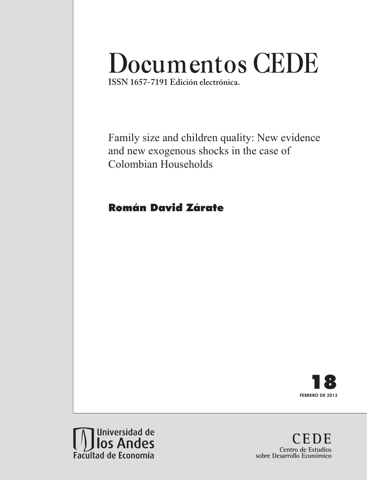# **Documentos CEDE**

**ISSN 1657-7191 Edición electrónica.**

Family size and children quality: New evidence and new exogenous shocks in the case of Colombian Households

# Román David Zárate





**CEDE Centro de Estudios sobre Desarrollo Económico**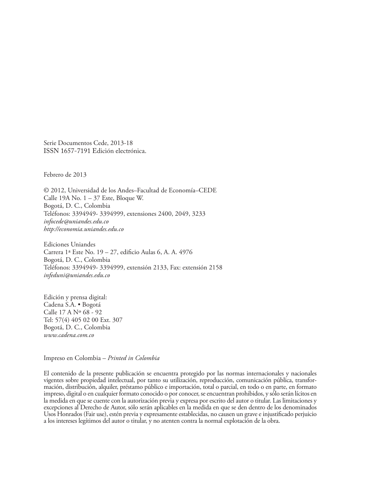Serie Documentos Cede, 2013-18 ISSN 1657-7191 Edición electrónica.

Febrero de 2013

© 2012, Universidad de los Andes–Facultad de Economía–CEDE Calle 19A No. 1 – 37 Este, Bloque W. Bogotá, D. C., Colombia Teléfonos: 3394949- 3394999, extensiones 2400, 2049, 3233 *infocede@uniandes.edu.co http://economia.uniandes.edu.co*

Ediciones Uniandes Carrera 1ª Este No. 19 – 27, edificio Aulas 6, A. A. 4976 Bogotá, D. C., Colombia Teléfonos: 3394949- 3394999, extensión 2133, Fax: extensión 2158 *infeduni@uniandes.edu.co*

Edición y prensa digital: Cadena S.A. • Bogotá Calle 17 A Nº 68 - 92 Tel: 57(4) 405 02 00 Ext. 307 Bogotá, D. C., Colombia *www.cadena.com.co*

Impreso en Colombia – *Printed in Colombia*

El contenido de la presente publicación se encuentra protegido por las normas internacionales y nacionales vigentes sobre propiedad intelectual, por tanto su utilización, reproducción, comunicación pública, transformación, distribución, alquiler, préstamo público e importación, total o parcial, en todo o en parte, en formato impreso, digital o en cualquier formato conocido o por conocer, se encuentran prohibidos, y sólo serán lícitos en la medida en que se cuente con la autorización previa y expresa por escrito del autor o titular. Las limitaciones y excepciones al Derecho de Autor, sólo serán aplicables en la medida en que se den dentro de los denominados Usos Honrados (Fair use), estén previa y expresamente establecidas, no causen un grave e injustificado perjuicio a los intereses legítimos del autor o titular, y no atenten contra la normal explotación de la obra.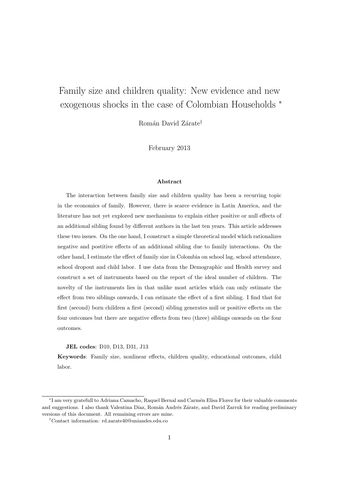# <span id="page-2-0"></span>Family size and children quality: New evidence and new exogenous shocks in the case of Colombian Households <sup>∗</sup>

Román David Zárate<sup>†</sup>

February 2013

#### Abstract

The interaction between family size and children quality has been a recurring topic in the economics of family. However, there is scarce evidence in Latin America, and the literature has not yet explored new mechanisms to explain either positive or null effects of an additional sibling found by different authors in the last ten years. This article addresses these two issues. On the one hand, I construct a simple theoretical model which rationalizes negative and postitive effects of an additional sibling due to family interactions. On the other hand, I estimate the effect of family size in Colombia on school lag, school attendance, school dropout and child labor. I use data from the Demographic and Health survey and construct a set of instruments based on the report of the ideal number of children. The novelty of the instruments lies in that unlike most articles which can only estimate the effect from two siblings onwards, I can estimate the effect of a first sibling. I find that for first (second) born children a first (second) sibling generates null or positive effects on the four outcomes but there are negative effects from two (three) siblings onwards on the four outcomes.

#### JEL codes: D10, D13, D31, J13

Keywords: Family size, nonlinear effects, children quality, educational outcomes, child labor.

<sup>\*</sup>I am very gratefull to Adriana Camacho, Raquel Bernal and Carmén Elisa Florez for their valuable comments and suggestions. I also thank Valentina Díaz, Román Andrés Zárate, and David Zarruk for reading preliminary versions of this document. All remaining errors are mine.

<sup>†</sup>Contact information: rd.zarate40@uniandes.edu.co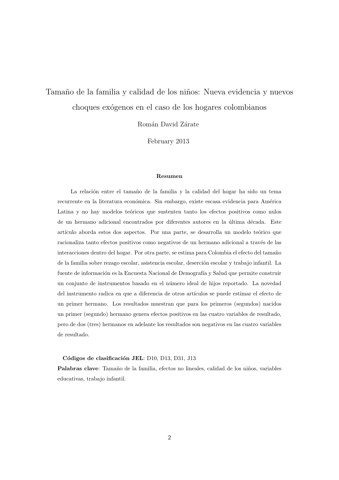# Tamaño de la familia y calidad de los niños: Nueva evidencia y nuevos choques ex´ogenos en el caso de los hogares colombianos

Román David Zárate

February 2013

#### Resumen

La relación entre el tamaño de la familia y la calidad del hogar ha sido un tema recurrente en la literatura económica. Sin embargo, existe escasa evidencia para América Latina y no hay modelos teóricos que sustenten tanto los efectos positivos como nulos de un hermano adicional encontrados por diferentes autores en la última década. Este artículo aborda estos dos aspectos. Por una parte, se desarrolla un modelo teórico que racionaliza tanto efectos positivos como negativos de un hermano adicional a través de las interacciones dentro del hogar. Por otra parte, se estima para Colombia el efecto del tamaño de la familia sobre rezago escolar, asistencia escolar, deserción escolar y trabajo infantil. La fuente de información es la Encuesta Nacional de Demografía y Salud que permite construir un conjunto de instrumentos basado en el n´umero ideal de hijos reportado. La novedad del instrumento radica en que a diferencia de otros artículos se puede estimar el efecto de un primer hermano. Los resultados muestran que para los primeros (segundos) nacidos un primer (segundo) hermano genera efectos positivos en las cuatro variables de resultado, pero de dos (tres) hermanos en adelante los resultados son negativos en las cuatro variables de resultado.

#### Códigos de clasificación JEL: D10, D13, D31, J13

Palabras clave: Tamaño de la familia, efectos no lineales, calidad de los niños, variables educativas, trabajo infantil.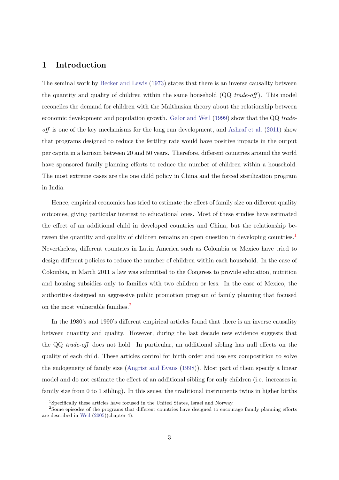## 1 Introduction

The seminal work by [Becker and Lewis](#page-30-0) [\(1973\)](#page-30-0) states that there is an inverse causality between the quantity and quality of children within the same household  $(QQ \; trade-off)$ . This model reconciles the demand for children with the Malthusian theory about the relationship between economic development and population growth. [Galor and Weil](#page-31-0) [\(1999\)](#page-31-0) show that the QQ trade- $\alpha$  of the key mechanisms for the long run development, and [Ashraf et al.](#page-30-1) [\(2011\)](#page-30-1) show that programs designed to reduce the fertility rate would have positive impacts in the output per capita in a horizon between 20 and 50 years. Therefore, different countries around the world have sponsored family planning efforts to reduce the number of children within a household. The most extreme cases are the one child policy in China and the forced sterilization program in India.

Hence, empirical economics has tried to estimate the effect of family size on different quality outcomes, giving particular interest to educational ones. Most of these studies have estimated the effect of an additional child in developed countries and China, but the relationship be-tween the quantity and quality of children remains an open question in developing countries.<sup>[1](#page-2-0)</sup> Nevertheless, different countries in Latin America such as Colombia or Mexico have tried to design different policies to reduce the number of children within each household. In the case of Colombia, in March 2011 a law was submitted to the Congress to provide education, nutrition and housing subsidies only to families with two children or less. In the case of Mexico, the authorities designed an aggressive public promotion program of family planning that focused on the most vulnerable families.<sup>[2](#page-2-0)</sup>

In the 1980's and 1990's different empirical articles found that there is an inverse causality between quantity and quality. However, during the last decade new evidence suggests that the QQ trade-off does not hold. In particular, an additional sibling has null effects on the quality of each child. These articles control for birth order and use sex compostition to solve the endogeneity of family size [\(Angrist and Evans](#page-30-2) [\(1998\)](#page-30-2)). Most part of them specify a linear model and do not estimate the effect of an additional sibling for only children (i.e. increases in family size from 0 to 1 sibling). In this sense, the traditional instruments twins in higher births

<sup>&</sup>lt;sup>1</sup>Specifically these articles have focused in the United States, Israel and Norway.

<sup>&</sup>lt;sup>2</sup>Some episodes of the programs that different countries have designed to encourage family planning efforts are described in [Weil](#page-32-0) [\(2005\)](#page-32-0)(chapter 4).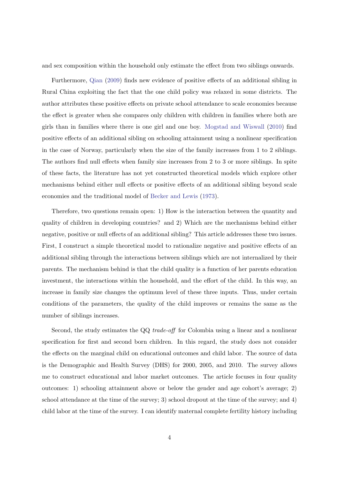and sex composition within the household only estimate the effect from two siblings onwards.

Furthermore, [Qian](#page-31-1) [\(2009\)](#page-31-1) finds new evidence of positive effects of an additional sibling in Rural China exploiting the fact that the one child policy was relaxed in some districts. The author attributes these positive effects on private school attendance to scale economies because the effect is greater when she compares only children with children in families where both are girls than in families where there is one girl and one boy. [Mogstad and Wiswall](#page-31-2) [\(2010\)](#page-31-2) find positive effects of an additional sibling on schooling attainment using a nonlinear specification in the case of Norway, particularly when the size of the family increases from 1 to 2 siblings. The authors find null effects when family size increases from 2 to 3 or more siblings. In spite of these facts, the literature has not yet constructed theoretical models which explore other mechanisms behind either null effects or positive effects of an additional sibling beyond scale economies and the traditional model of [Becker and Lewis](#page-30-0) [\(1973\)](#page-30-0).

Therefore, two questions remain open: 1) How is the interaction between the quantity and quality of children in developing countries? and 2) Which are the mechanisms behind either negative, positive or null effects of an additional sibling? This article addresses these two issues. First, I construct a simple theoretical model to rationalize negative and positive effects of an additional sibling through the interactions between siblings which are not internalized by their parents. The mechanism behind is that the child quality is a function of her parents education investment, the interactions within the household, and the effort of the child. In this way, an increase in family size changes the optimum level of these three inputs. Thus, under certain conditions of the parameters, the quality of the child improves or remains the same as the number of siblings increases.

Second, the study estimates the QQ trade-off for Colombia using a linear and a nonlinear specification for first and second born children. In this regard, the study does not consider the effects on the marginal child on educational outcomes and child labor. The source of data is the Demographic and Health Survey (DHS) for 2000, 2005, and 2010. The survey allows me to construct educational and labor market outcomes. The article focuses in four quality outcomes: 1) schooling attainment above or below the gender and age cohort's average; 2) school attendance at the time of the survey; 3) school dropout at the time of the survey; and 4) child labor at the time of the survey. I can identify maternal complete fertility history including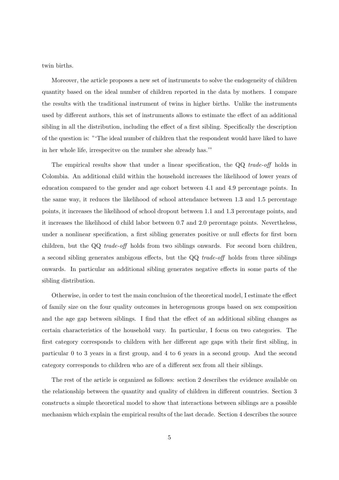twin births.

Moreover, the article proposes a new set of instruments to solve the endogeneity of children quantity based on the ideal number of children reported in the data by mothers. I compare the results with the traditional instrument of twins in higher births. Unlike the instruments used by different authors, this set of instruments allows to estimate the effect of an additional sibling in all the distribution, including the effect of a first sibling. Specifically the description of the question is: "'The ideal number of children that the respondent would have liked to have in her whole life, irrespecitve on the number she already has.'"

The empirical results show that under a linear specification, the QQ trade-off holds in Colombia. An additional child within the household increases the likelihood of lower years of education compared to the gender and age cohort between 4.1 and 4.9 percentage points. In the same way, it reduces the likelihood of school attendance between 1.3 and 1.5 percentage points, it increases the likelihood of school dropout between 1.1 and 1.3 percentage points, and it increases the likelihood of child labor between 0.7 and 2.0 percentage points. Nevertheless, under a nonlinear specification, a first sibling generates positive or null effects for first born children, but the QQ trade-off holds from two siblings onwards. For second born children, a second sibling generates ambigous effects, but the QQ trade-off holds from three siblings onwards. In particular an additional sibling generates negative effects in some parts of the sibling distribution.

Otherwise, in order to test the main conclusion of the theoretical model, I estimate the effect of family size on the four quality outcomes in heterogenous groups based on sex composition and the age gap between siblings. I find that the effect of an additional sibling changes as certain characteristics of the household vary. In particular, I focus on two categories. The first category corresponds to children with her different age gaps with their first sibling, in particular 0 to 3 years in a first group, and 4 to 6 years in a second group. And the second category corresponds to children who are of a different sex from all their siblings.

The rest of the article is organized as follows: section 2 describes the evidence available on the relationship between the quantity and quality of children in different countries. Section 3 constructs a simple theoretical model to show that interactions between siblings are a possible mechanism which explain the empirical results of the last decade. Section 4 describes the source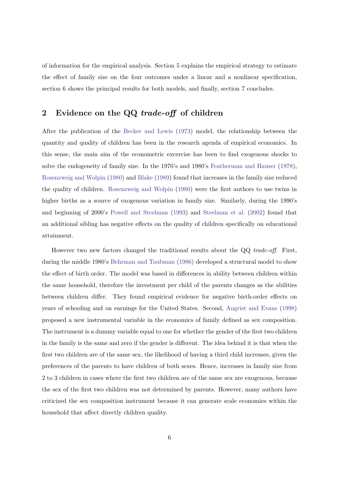of information for the empirical analysis. Section 5 explains the empirical strategy to estimate the effect of family size on the four outcomes under a linear and a nonlinear specification, section 6 shows the principal results for both models, and finally, section 7 concludes.

# 2 Evidence on the QQ trade-off of children

After the publication of the [Becker and Lewis](#page-30-0) [\(1973\)](#page-30-0) model, the relationship between the quantity and quality of children has been in the research agenda of empirical economics. In this sense, the main aim of the econometric excercise has been to find exogenous shocks to solve the endogeneity of family size. In the 1970's and 1980's [Featherman and Hauser](#page-30-3) [\(1978\)](#page-30-3), [Rosenzweig and Wolpin](#page-32-1) [\(1980\)](#page-32-1) and [Blake](#page-30-4) [\(1989\)](#page-30-4) found that increases in the family size reduced the quality of children. [Rosenzweig and Wolpin](#page-32-1) [\(1980\)](#page-32-1) were the first authors to use twins in higher births as a source of exogenous variation in family size. Similarly, during the 1990's and beginning of 2000's [Powell and Steelman](#page-31-3) [\(1993\)](#page-31-3) and [Steelman et al.](#page-32-2) [\(2002\)](#page-32-2) found that an additional sibling has negative effects on the quality of children specifically on educational attainment.

However two new factors changed the traditional results about the QQ trade-off. First, during the middle 1980's [Behrman and Taubman](#page-30-5) [\(1986\)](#page-30-5) developed a structural model to show the effect of birth order. The model was based in differences in ability between children within the same household, therefore the investment per child of the parents changes as the abilities between children differ. They found empirical evidence for negative birth-order effects on years of schooling and on earnings for the United States. Second, [Angrist and Evans](#page-30-2) [\(1998\)](#page-30-2) proposed a new instrumental variable in the economics of family defined as sex composition. The instrument is a dummy variable equal to one for whether the gender of the first two children in the family is the same and zero if the gender is different. The idea behind it is that when the first two children are of the same sex, the likelihood of having a third child increases, given the preferences of the parents to have children of both sexes. Hence, increases in family size from 2 to 3 children in cases where the first two children are of the same sex are exogenous, because the sex of the first two children was not determined by parents. However, many authors have criticized the sex composition instrument because it can generate scale economies within the household that affect directly children quality.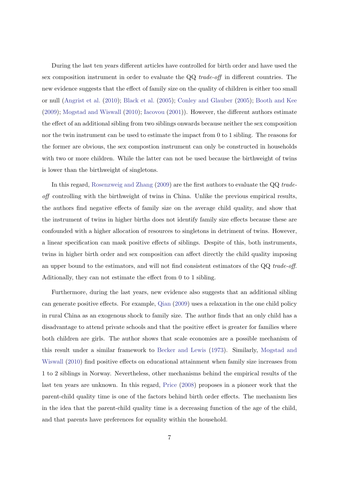During the last ten years different articles have controlled for birth order and have used the sex composition instrument in order to evaluate the QQ trade-off in different countries. The new evidence suggests that the effect of family size on the quality of children is either too small or null [\(Angrist et al.](#page-30-6) [\(2010\)](#page-30-6); [Black et al.](#page-30-7) [\(2005\)](#page-30-7); [Conley and Glauber](#page-30-8) [\(2005\)](#page-30-8); [Booth and Kee](#page-30-9) [\(2009\)](#page-30-9); [Mogstad and Wiswall](#page-31-2) [\(2010\)](#page-31-2); [Iacovou](#page-31-4) [\(2001\)](#page-31-4)). However, the different authors estimate the effect of an additional sibling from two siblings onwards because neither the sex composition nor the twin instrument can be used to estimate the impact from 0 to 1 sibling. The reasons for the former are obvious, the sex compostion instrument can only be constructed in households with two or more children. While the latter can not be used because the birthweight of twins is lower than the birthweight of singletons.

In this regard, [Rosenzweig and Zhang](#page-32-3) [\(2009\)](#page-32-3) are the first authors to evaluate the QQ tradeoff controlling with the birthweight of twins in China. Unlike the previous empirical results, the authors find negative effects of family size on the average child quality, and show that the instrument of twins in higher births does not identify family size effects because these are confounded with a higher allocation of resources to singletons in detriment of twins. However, a linear specification can mask positive effects of siblings. Despite of this, both instruments, twins in higher birth order and sex composition can affect directly the child quality imposing an upper bound to the estimators, and will not find consistent estimators of the QQ trade-off. Aditionally, they can not estimate the effect from 0 to 1 sibling.

Furthermore, during the last years, new evidence also suggests that an additional sibling can generate positive effects. For example, [Qian](#page-31-1) [\(2009\)](#page-31-1) uses a relaxation in the one child policy in rural China as an exogenous shock to family size. The author finds that an only child has a disadvantage to attend private schools and that the positive effect is greater for families where both children are girls. The author shows that scale economies are a possible mechanism of this result under a similar framework to [Becker and Lewis](#page-30-0) [\(1973\)](#page-30-0). Similarly, [Mogstad and](#page-31-2) [Wiswall](#page-31-2) [\(2010\)](#page-31-2) find positive effects on educational attainment when family size increases from 1 to 2 siblings in Norway. Nevertheless, other mechanisms behind the empirical results of the last ten years are unknown. In this regard, [Price](#page-31-5) [\(2008\)](#page-31-5) proposes in a pioneer work that the parent-child quality time is one of the factors behind birth order effects. The mechanism lies in the idea that the parent-child quality time is a decreasing function of the age of the child, and that parents have preferences for equality within the household.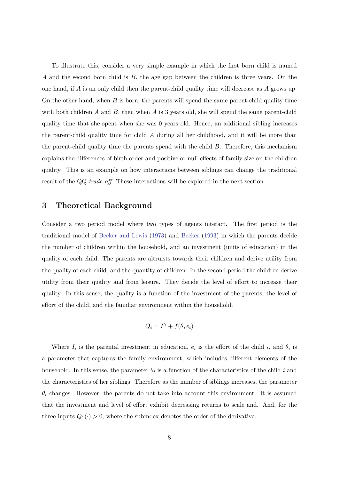To illustrate this, consider a very simple example in which the first born child is named A and the second born child is B, the age gap between the children is three years. On the one hand, if A is an only child then the parent-child quality time will decrease as A grows up. On the other hand, when  $B$  is born, the parents will spend the same parent-child quality time with both children A and B, then when A is 3 years old, she will spend the same parent-child quality time that she spent when she was 0 years old. Hence, an additional sibling increases the parent-child quality time for child A during all her childhood, and it will be more than the parent-child quality time the parents spend with the child  $B$ . Therefore, this mechanism explains the differences of birth order and positive or null effects of family size on the children quality. This is an example on how interactions between siblings can change the traditional result of the QQ trade-off. These interactions will be explored in the next section.

## 3 Theoretical Background

Consider a two period model where two types of agents interact. The first period is the traditional model of [Becker and Lewis](#page-30-0) [\(1973\)](#page-30-0) and [Becker](#page-30-10) [\(1993\)](#page-30-10) in which the parents decide the number of children within the household, and an investment (units of education) in the quality of each child. The parents are altruists towards their children and derive utility from the quality of each child, and the quantity of children. In the second period the children derive utility from their quality and from leisure. They decide the level of effort to increase their quality. In this sense, the quality is a function of the investment of the parents, the level of effort of the child, and the familiar environment within the household.

$$
Q_i = I^{\gamma} + f(\theta, e_i)
$$

Where  $I_i$  is the parental investment in education,  $e_i$  is the effort of the child i, and  $\theta_i$  is a parameter that captures the family environment, which includes different elements of the household. In this sense, the parameter  $\theta_i$  is a function of the characteristics of the child i and the characteristics of her siblings. Therefore as the number of siblings increases, the parameter  $\theta_i$  changes. However, the parents do not take into account this environment. It is assumed that the investment and level of effort exhibit decreasing returns to scale and. And, for the three inputs  $Q_1(\cdot) > 0$ , where the subindex denotes the order of the derivative.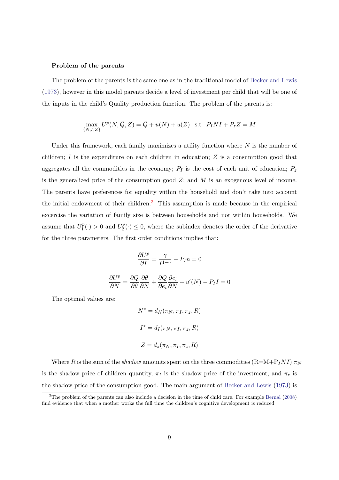#### Problem of the parents

The problem of the parents is the same one as in the traditional model of [Becker and Lewis](#page-30-0) [\(1973\)](#page-30-0), however in this model parents decide a level of investment per child that will be one of the inputs in the child's Quality production function. The problem of the parents is:

$$
\max_{\{N,I,Z\}} U^p(N,\bar{Q},Z) = \bar{Q} + u(N) + u(Z) \quad \text{s.t} \quad P_INI + P_z Z = M
$$

Under this framework, each family maximizes a utility function where  $N$  is the number of children;  $I$  is the expenditure on each children in education;  $Z$  is a consumption good that aggregates all the commodities in the economy;  $P_I$  is the cost of each unit of education;  $P_z$ is the generalized price of the consumption good  $Z$ ; and  $M$  is an exogenous level of income. The parents have preferences for equality within the household and don't take into account the initial endowment of their children.<sup>[3](#page-2-0)</sup> This assumption is made because in the empirical excercise the variation of family size is between households and not within households. We assume that  $U_1^p$  $U_1^p(\cdot) > 0$  and  $U_2^p$  $2^p(\cdot) \leq 0$ , where the subindex denotes the order of the derivative for the three parameters. The first order conditions implies that:

$$
\frac{\partial U^p}{\partial I} = \frac{\gamma}{I^{1-\gamma}} - P_I n = 0
$$

$$
\frac{\partial U^p}{\partial N} = \frac{\partial Q}{\partial \theta} \frac{\partial \theta}{\partial N} + \frac{\partial Q}{\partial e_i} \frac{\partial e_i}{\partial N} + u'(N) - P_I I = 0
$$

The optimal values are:

$$
N^* = d_N(\pi_N, \pi_I, \pi_z, R)
$$
  

$$
I^* = d_I(\pi_N, \pi_I, \pi_z, R)
$$
  

$$
Z = d_z(\pi_N, \pi_I, \pi_z, R)
$$

Where R is the sum of the shadow amounts spent on the three commodities  $(R=M+P_1NI),\pi_N$ is the shadow price of children quantity,  $\pi_I$  is the shadow price of the investment, and  $\pi_z$  is the shadow price of the consumption good. The main argument of [Becker and Lewis](#page-30-0) [\(1973\)](#page-30-0) is

<sup>3</sup>The problem of the parents can also include a decision in the time of child care. For example [Bernal](#page-30-11) [\(2008\)](#page-30-11) find evidence that when a mother works the full time the children's cognitive development is reduced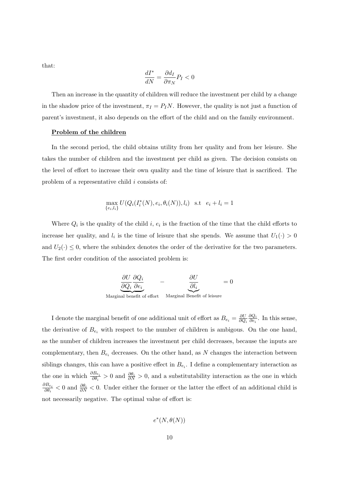that:

$$
\frac{dI^*}{dN} = \frac{\partial d_I}{\partial \pi_N} P_I < 0
$$

Then an increase in the quantity of children will reduce the investment per child by a change in the shadow price of the investment,  $\pi_I = P_I N$ . However, the quality is not just a function of parent's investment, it also depends on the effort of the child and on the family environment.

#### Problem of the children

In the second period, the child obtains utility from her quality and from her leisure. She takes the number of children and the investment per child as given. The decision consists on the level of effort to increase their own quality and the time of leisure that is sacrificed. The problem of a representative child i consists of:

$$
\max_{\{e_i, l_i\}} U(Q_i(I_i^*(N), e_i, \theta_i(N)), l_i) \text{ s.t } e_i + l_i = 1
$$

Where  $Q_i$  is the quality of the child i,  $e_i$  is the fraction of the time that the child efforts to increase her quality, and  $l_i$  is the time of leisure that she spends. We assume that  $U_1(\cdot) > 0$ and  $U_2(\cdot) \leq 0$ , where the subindex denotes the order of the derivative for the two parameters. The first order condition of the associated problem is:

$$
\underbrace{\frac{\partial U}{\partial Q_i} \frac{\partial Q_i}{\partial e_i}}_{\text{Marginal benefit of effort}} - \underbrace{\frac{\partial U}{\partial l_i}}_{\text{Marginal benefit of leisure}} = 0
$$

I denote the marginal benefit of one additional unit of effort as  $B_{e_i} = \frac{\partial U}{\partial Q}$  $\partial Q_i$ ∂Q<sup>i</sup>  $\frac{\partial Q_i}{\partial e_i}$ . In this sense, the derivative of  $B_{e_i}$  with respect to the number of children is ambigous. On the one hand, as the number of children increases the investment per child decreases, because the inputs are complementary, then  $B_{e_i}$  decreases. On the other hand, as N changes the interaction between siblings changes, this can have a positive effect in  $B_{e_i}$ . I define a complementary interaction as the one in which  $\frac{\partial B_{e_i}}{\partial \theta_i} > 0$  and  $\frac{\partial \theta_i}{\partial N} > 0$ , and a substitutability interaction as the one in which  $\frac{\partial B_{e_i}}{\partial p_i}$  $\frac{\partial B_{e_i}}{\partial \theta_i}$  < 0 and  $\frac{\partial \theta_i}{\partial N}$  < 0. Under either the former or the latter the effect of an additional child is not necessarily negative. The optimal value of effort is:

$$
e^*(N,\theta(N))
$$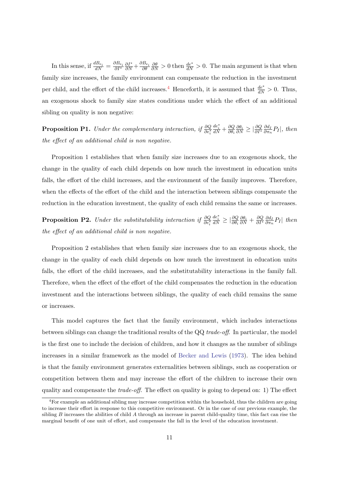In this sense, if  $\frac{dB_{e_i}}{dN} = \frac{\partial B_{e_i}}{\partial I^*}$  $\frac{\partial I^*}{\partial N} + \frac{\partial B_{e_i}}{\partial \theta}$  $\frac{\partial \theta}{\partial N} > 0$  then  $\frac{de^*}{dN} > 0$ . The main argument is that when family size increases, the family environment can compensate the reduction in the investment per child, and the effort of the child increases.<sup>[4](#page-2-0)</sup> Henceforth, it is assumed that  $\frac{de^*}{dN} > 0$ . Thus, an exogenous shock to family size states conditions under which the effect of an additional sibling on quality is non negative:

**Proposition P1.** Under the complementary interaction, if  $\frac{\partial Q}{\partial e_i^*}$  $\frac{de_i^*}{dN} + \frac{\partial Q}{\partial \theta_i}$  $\partial \theta_i$  $\frac{\partial \theta_i}{\partial N} \geq |\frac{\partial Q}{\partial I^*} \frac{\partial d_I}{\partial \pi_n}$  $\frac{\partial d_I}{\partial \pi_n} P_I$ , then the effect of an additional child is non negative.

Proposition 1 establishes that when family size increases due to an exogenous shock, the change in the quality of each child depends on how much the investment in education units falls, the effort of the child increases, and the environment of the family improves. Therefore, when the effects of the effort of the child and the interaction between siblings compensate the reduction in the education investment, the quality of each child remains the same or increases.

**Proposition P2.** Under the substitutability interaction if  $\frac{\partial Q}{\partial e_i^*}$  $\frac{de_i^*}{dN} \geq \left| \frac{\partial Q}{\partial \theta_i} \right|$  $\frac{\partial \theta_i}{\partial N} + \frac{\partial Q}{\partial I^*}\frac{\partial d_I}{\partial \pi_n}$  $\frac{\partial d_I}{\partial \pi_n} P_I$  then the effect of an additional child is non negative.

Proposition 2 establishes that when family size increases due to an exogenous shock, the change in the quality of each child depends on how much the investment in education units falls, the effort of the child increases, and the substitutability interactions in the family fall. Therefore, when the effect of the effort of the child compensates the reduction in the education investment and the interactions between siblings, the quality of each child remains the same or increases.

This model captures the fact that the family environment, which includes interactions between siblings can change the traditional results of the QQ trade-off. In particular, the model is the first one to include the decision of children, and how it changes as the number of siblings increases in a similar framework as the model of [Becker and Lewis](#page-30-0) [\(1973\)](#page-30-0). The idea behind is that the family environment generates externalities between siblings, such as cooperation or competition between them and may increase the effort of the children to increase their own quality and compensate the  $trade-off$ . The effect on quality is going to depend on: 1) The effect

 ${}^{4}$ For example an additional sibling may increase competition within the household, thus the children are going to increase their effort in response to this competitive environment. Or in the case of our previous example, the sibling  $B$  increases the abilities of child  $A$  through an increase in parent child-quality time, this fact can rise the marginal benefit of one unit of effort, and compensate the fall in the level of the education investment.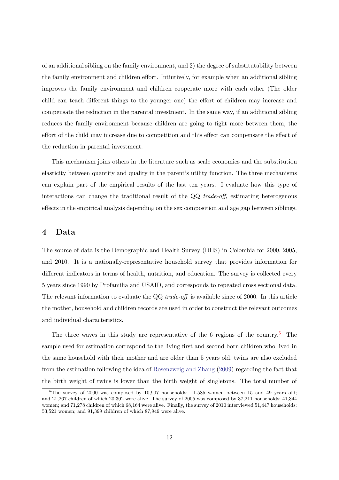of an additional sibling on the family environment, and 2) the degree of substitutability between the family environment and children effort. Intiutively, for example when an additional sibling improves the family environment and children cooperate more with each other (The older child can teach different things to the younger one) the effort of children may increase and compensate the reduction in the parental investment. In the same way, if an additional sibling reduces the family environment because children are going to fight more between them, the effort of the child may increase due to competition and this effect can compensate the effect of the reduction in parental investment.

This mechanism joins others in the literature such as scale economies and the substitution elasticity between quantity and quality in the parent's utility function. The three mechanisms can explain part of the empirical results of the last ten years. I evaluate how this type of interactions can change the traditional result of the  $QQ$  *trade-off*, estimating heterogenous effects in the empirical analysis depending on the sex composition and age gap between siblings.

#### 4 Data

The source of data is the Demographic and Health Survey (DHS) in Colombia for 2000, 2005, and 2010. It is a nationally-representative household survey that provides information for different indicators in terms of health, nutrition, and education. The survey is collected every 5 years since 1990 by Profamilia and USAID, and corresponds to repeated cross sectional data. The relevant information to evaluate the QQ trade-off is available since of 2000. In this article the mother, household and children records are used in order to construct the relevant outcomes and individual characteristics.

The three waves in this study are representative of the 6 regions of the country.<sup>[5](#page-2-0)</sup> The sample used for estimation correspond to the living first and second born children who lived in the same household with their mother and are older than 5 years old, twins are also excluded from the estimation following the idea of [Rosenzweig and Zhang](#page-32-3) [\(2009\)](#page-32-3) regarding the fact that the birth weight of twins is lower than the birth weight of singletons. The total number of

 $5$ The survey of 2000 was composed by 10,907 households; 11,585 women between 15 and 49 years old; and 21,267 children of which 20,302 were alive. The survey of 2005 was composed by 37,211 households; 41,344 women; and 71,278 children of which 68,164 were alive. Finally, the survey of 2010 interviewed 51,447 households; 53,521 women; and 91,399 children of which 87,949 were alive.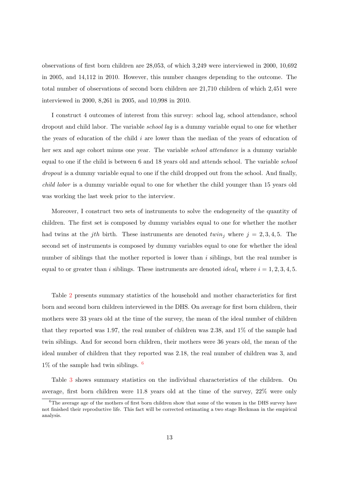observations of first born children are 28,053, of which 3,249 were interviewed in 2000, 10,692 in 2005, and 14,112 in 2010. However, this number changes depending to the outcome. The total number of observations of second born children are 21,710 children of which 2,451 were interviewed in 2000, 8,261 in 2005, and 10,998 in 2010.

I construct 4 outcomes of interest from this survey: school lag, school attendance, school dropout and child labor. The variable *school lag* is a dummy variable equal to one for whether the years of education of the child i are lower than the median of the years of education of her sex and age cohort minus one year. The variable school attendance is a dummy variable equal to one if the child is between 6 and 18 years old and attends school. The variable school dropout is a dummy variable equal to one if the child dropped out from the school. And finally, child labor is a dummy variable equal to one for whether the child younger than 15 years old was working the last week prior to the interview.

Moreover, I construct two sets of instruments to solve the endogeneity of the quantity of children. The first set is composed by dummy variables equal to one for whether the mother had twins at the *j*th birth. These instruments are denoted twin<sub>j</sub> where  $j = 2, 3, 4, 5$ . The second set of instruments is composed by dummy variables equal to one for whether the ideal number of siblings that the mother reported is lower than  $i$  siblings, but the real number is equal to or greater than i siblings. These instruments are denoted *ideal<sub>i</sub>* where  $i = 1, 2, 3, 4, 5$ .

Table [2](#page-33-0) presents summary statistics of the household and mother characteristics for first born and second born children interviewed in the DHS. On average for first born children, their mothers were 33 years old at the time of the survey, the mean of the ideal number of children that they reported was 1.97, the real number of children was 2.38, and 1% of the sample had twin siblings. And for second born children, their mothers were 36 years old, the mean of the ideal number of children that they reported was 2.18, the real number of children was 3, and  $1\%$  of the sample had twin siblings.  $6$ 

Table [3](#page-34-0) shows summary statistics on the individual characteristics of the children. On average, first born children were 11.8 years old at the time of the survey, 22% were only

<sup>&</sup>lt;sup>6</sup>The average age of the mothers of first born children show that some of the women in the DHS survey have not finished their reproductive life. This fact will be corrected estimating a two stage Heckman in the empirical analysis.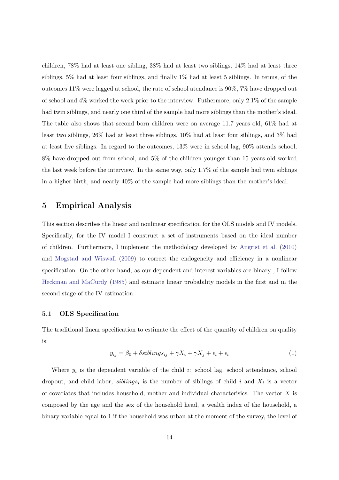children, 78% had at least one sibling, 38% had at least two siblings, 14% had at least three siblings, 5% had at least four siblings, and finally 1% had at least 5 siblings. In terms, of the outcomes 11% were lagged at school, the rate of school atendance is 90%, 7% have dropped out of school and 4% worked the week prior to the interview. Futhermore, only 2.1% of the sample had twin siblings, and nearly one third of the sample had more siblings than the mother's ideal. The table also shows that second born children were on average 11.7 years old, 61% had at least two siblings, 26% had at least three siblings, 10% had at least four siblings, and 3% had at least five siblings. In regard to the outcomes, 13% were in school lag, 90% attends school, 8% have dropped out from school, and 5% of the children younger than 15 years old worked the last week before the interview. In the same way, only 1.7% of the sample had twin siblings in a higher birth, and nearly 40% of the sample had more siblings than the mother's ideal.

## 5 Empirical Analysis

This section describes the linear and nonlinear specification for the OLS models and IV models. Specifically, for the IV model I construct a set of instruments based on the ideal number of children. Furthermore, I implement the methodology developed by [Angrist et al.](#page-30-6) [\(2010\)](#page-30-6) and [Mogstad and Wiswall](#page-31-6) [\(2009\)](#page-31-6) to correct the endogeneity and efficiency in a nonlinear specification. On the other hand, as our dependent and interest variables are binary , I follow [Heckman and MaCurdy](#page-31-7) [\(1985\)](#page-31-7) and estimate linear probability models in the first and in the second stage of the IV estimation.

#### 5.1 OLS Specification

<span id="page-15-0"></span>The traditional linear specification to estimate the effect of the quantity of children on quality is:

$$
y_{ij} = \beta_0 + \delta sibling_{ij} + \gamma X_i + \gamma X_j + \epsilon_i + \epsilon_i \tag{1}
$$

Where  $y_i$  is the dependent variable of the child i: school lag, school attendance, school dropout, and child labor;  $sibling_i$  is the number of siblings of child i and  $X_i$  is a vector of covariates that includes household, mother and individual characterisics. The vector  $X$  is composed by the age and the sex of the household head, a wealth index of the household, a binary variable equal to 1 if the household was urban at the moment of the survey, the level of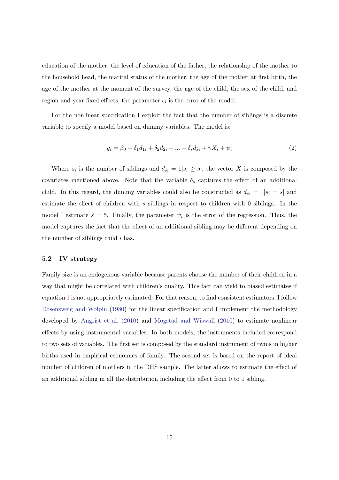education of the mother, the level of education of the father, the relationship of the mother to the household head, the marital status of the mother, the age of the mother at first birth, the age of the mother at the moment of the survey, the age of the child, the sex of the child, and region and year fixed effects, the parameter  $\epsilon_i$  is the error of the model.

For the nonlinear specification I exploit the fact that the number of siblings is a discrete variable to specify a model based on dummy variables. The model is:

$$
y_i = \beta_0 + \delta_1 d_{1i} + \delta_2 d_{2i} + \dots + \delta_s d_{\hat{s}i} + \gamma X_i + \psi_i
$$
 (2)

Where  $s_i$  is the number of siblings and  $d_{si} = 1[s_i \geq s]$ , the vector X is composed by the covariates mentioned above. Note that the variable  $\delta_s$  captures the effect of an additional child. In this regard, the dummy variables could also be constructed as  $d_{si} = 1[s_i = s]$  and estimate the effect of children with s siblings in respect to children with 0 siblings. In the model I estimate  $\hat{s} = 5$ . Finally, the parameter  $\psi_i$  is the error of the regression. Thus, the model captures the fact that the effect of an additional sibling may be different depending on the number of siblings child  $i$  has.

#### 5.2 IV strategy

Family size is an endogenous variable because parents choose the number of their children in a way that might be correlated with children's quality. This fact can yield to biased estimates if equation [1](#page-15-0) is not appropriately estimated. For that reason, to find consistent estimators, I follow [Rosenzweig and Wolpin](#page-32-1) [\(1980\)](#page-32-1) for the linear specification and I implement the methodology developed by [Angrist et al.](#page-30-6) [\(2010\)](#page-30-6) and [Mogstad and Wiswall](#page-31-2) [\(2010\)](#page-31-2) to estimate nonlinear effects by using instrumental variables. In both models, the instruments included correspond to two sets of variables. The first set is composed by the standard instrument of twins in higher births used in empirical economics of family. The second set is based on the report of ideal number of children of mothers in the DHS sample. The latter allows to estimate the effect of an additional sibling in all the distribution including the effect from 0 to 1 sibling.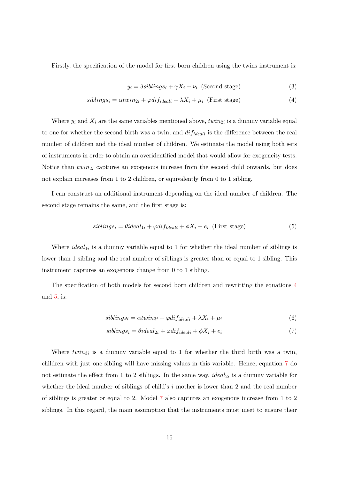Firstly, the specification of the model for first born children using the twins instrument is:

<span id="page-17-0"></span>
$$
y_i = \delta sibling_i + \gamma X_i + \nu_i \text{ (Second stage)}
$$
 (3)

$$
sibling s_i = \alpha twin_{2i} + \varphi dif_{ideali} + \lambda X_i + \mu_i \text{ (First stage)}
$$
\n
$$
(4)
$$

Where  $y_i$  and  $X_i$  are the same variables mentioned above,  $twin_{2i}$  is a dummy variable equal to one for whether the second birth was a twin, and  $dif_{ideali}$  is the difference between the real number of children and the ideal number of children. We estimate the model using both sets of instruments in order to obtain an overidentified model that would allow for exogeneity tests. Notice than  $twin_{2i}$  captures an exogenous increase from the second child onwards, but does not explain increases from 1 to 2 children, or equivalently from 0 to 1 sibling.

I can construct an additional instrument depending on the ideal number of children. The second stage remains the same, and the first stage is:

<span id="page-17-1"></span>
$$
sibling s_i = \theta ideal_{1i} + \varphi dif_{ideali} + \phi X_i + e_i \text{ (First stage)}
$$
\n
$$
(5)
$$

Where  $ideal_{1i}$  is a dummy variable equal to 1 for whether the ideal number of siblings is lower than 1 sibling and the real number of siblings is greater than or equal to 1 sibling. This instrument captures an exogenous change from 0 to 1 sibling.

The specification of both models for second born children and rewritting the equations [4](#page-17-0) and [5,](#page-17-1) is:

<span id="page-17-2"></span>
$$
sibling s_i = \alpha twin_{3i} + \varphi dif_{ideali} + \lambda X_i + \mu_i \tag{6}
$$

$$
sibling s_i = \theta ideal_{2i} + \varphi dif_{ideali} + \phi X_i + e_i \tag{7}
$$

Where  $twin_{3i}$  is a dummy variable equal to 1 for whether the third birth was a twin, children with just one sibling will have missing values in this variable. Hence, equation [7](#page-17-2) do not estimate the effect from 1 to 2 siblings. In the same way,  $ideal_{2i}$  is a dummy variable for whether the ideal number of siblings of child's  $i$  mother is lower than 2 and the real number of siblings is greater or equal to 2. Model [7](#page-17-2) also captures an exogenous increase from 1 to 2 siblings. In this regard, the main assumption that the instruments must meet to ensure their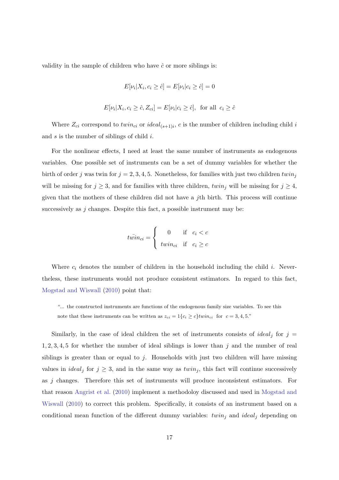validity in the sample of children who have  $\hat{c}$  or more siblings is:

$$
E[\nu_i|X_i, c_i \geq \hat{c}] = E[\nu_i|c_i \geq \hat{c}] = 0
$$

$$
E[\nu_i|X_i, c_i \ge \hat{c}, Z_{ci}] = E[\nu_i|c_i \ge \hat{c}], \text{ for all } c_i \ge \hat{c}
$$

Where  $Z_{ci}$  correspond to  $twin_{ci}$  or  $ideal_{(s+1)i}$ , c is the number of children including child i and  $s$  is the number of siblings of child  $i$ .

For the nonlinear effects, I need at least the same number of instruments as endogenous variables. One possible set of instruments can be a set of dummy variables for whether the birth of order j was twin for  $j = 2, 3, 4, 5$ . Nonetheless, for families with just two children twin<sub>j</sub> will be missing for  $j \geq 3$ , and for families with three children, twin<sub>j</sub> will be missing for  $j \geq 4$ , given that the mothers of these children did not have a  $j$ th birth. This process will continue successively as  $j$  changes. Despite this fact, a possible instrument may be:

$$
t\bar{win}_{ci} = \begin{cases} 0 & \text{if } c_i < c \\ \text{twin}_{ci} & \text{if } c_i \ge c \end{cases}
$$

Where  $c_i$  denotes the number of children in the household including the child i. Nevertheless, these instruments would not produce consistent estimators. In regard to this fact, [Mogstad and Wiswall](#page-31-2) [\(2010\)](#page-31-2) point that:

"... the constructed instruments are functions of the endogenous family size variables. To see this note that these instruments can be written as  $z_{ci} = 1\{c_i \ge c\}$ twin<sub>ci</sub> for  $c = 3, 4, 5$ ."

Similarly, in the case of ideal children the set of instruments consists of *ideal<sub>j</sub>* for  $j =$  $1, 2, 3, 4, 5$  for whether the number of ideal siblings is lower than j and the number of real siblings is greater than or equal to j. Households with just two children will have missing values in *ideal<sub>j</sub>* for  $j \geq 3$ , and in the same way as *twin<sub>j</sub>*, this fact will continue successively as j changes. Therefore this set of instruments will produce inconsistent estimators. For that reason [Angrist et al.](#page-30-6) [\(2010\)](#page-30-6) implement a methodoloy discussed and used in [Mogstad and](#page-31-2) [Wiswall](#page-31-2) [\(2010\)](#page-31-2) to correct this problem. Specifically, it consists of an instrument based on a conditional mean function of the different dummy variables:  $twin_j$  and  $ideal_j$  depending on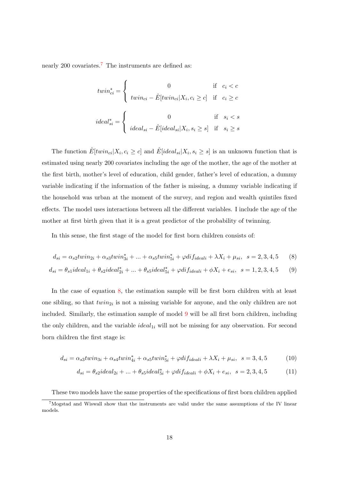nearly 200 covariates.<sup>[7](#page-2-0)</sup> The instruments are defined as:

$$
twin_{ci}^{*} = \begin{cases} 0 & \text{if } c_i < c \\ \ntwin_{ci} - \hat{E}[twin_{ci} | X_i, c_i \ge c] & \text{if } c_i \ge c \end{cases}
$$
  

$$
ideal_{si}^{*} = \begin{cases} 0 & \text{if } s_i < s \\ ideal_{si} - \hat{E}[ideal_{si} | X_i, s_i \ge s] & \text{if } s_i \ge s \end{cases}
$$

The function  $\hat{E}[twin_{ci}|X_i, c_i \ge c]$  and  $\hat{E}[ideal_{si}|X_i, s_i \ge s]$  is an unknown function that is estimated using nearly 200 covariates including the age of the mother, the age of the mother at the first birth, mother's level of education, child gender, father's level of education, a dummy variable indicating if the information of the father is missing, a dummy variable indicating if the household was urban at the moment of the survey, and region and wealth quintiles fixed effects. The model uses interactions between all the different variables. I include the age of the mother at first birth given that it is a great predictor of the probability of twinning.

In this sense, the first stage of the model for first born children consists of:

<span id="page-19-0"></span>
$$
d_{si} = \alpha_{s2}twin_{2i} + \alpha_{s3}twin_{3i}^* + \dots + \alpha_{s5}twin_{5i}^* + \varphi dif_{ideali} + \lambda X_i + \mu_{si}, \ \ s = 2, 3, 4, 5 \tag{8}
$$

$$
d_{si} = \theta_{s1} ideal_{1i} + \theta_{s2} ideal_{2i}^* + ... + \theta_{s5} ideal_{5i}^* + \varphi dif_{ideali} + \phi X_i + e_{si}, \ \ s = 1, 2, 3, 4, 5 \tag{9}
$$

In the case of equation [8,](#page-19-0) the estimation sample will be first born children with at least one sibling, so that  $twin_{2i}$  is not a missing variable for anyone, and the only children are not included. Similarly, the estimation sample of model [9](#page-19-0) will be all first born children, including the only children, and the variable  $ideal_{1i}$  will not be missing for any observation. For second born children the first stage is:

<span id="page-19-1"></span>
$$
d_{si} = \alpha_{s3}twin_{3i} + \alpha_{s4}twin_{4i}^* + \alpha_{s5}twin_{5i}^* + \varphi dif_{ideali} + \lambda X_i + \mu_{si}, \ \ s = 3, 4, 5 \tag{10}
$$

$$
d_{si} = \theta_{s2} ideal_{2i} + ... + \theta_{s5} ideal_{5i}^* + \varphi dif_{ideali} + \phi X_i + e_{si}, \ \ s = 2, 3, 4, 5 \tag{11}
$$

These two models have the same properties of the specifications of first born children applied

<sup>7</sup>Mogstad and Wiswall show that the instruments are valid under the same assumptions of the IV linear models.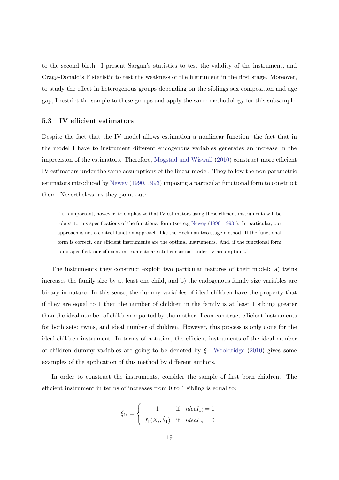to the second birth. I present Sargan's statistics to test the validity of the instrument, and Cragg-Donald's F statistic to test the weakness of the instrument in the first stage. Moreover, to study the effect in heterogenous groups depending on the siblings sex composition and age gap, I restrict the sample to these groups and apply the same methodology for this subsample.

#### 5.3 IV efficient estimators

Despite the fact that the IV model allows estimation a nonlinear function, the fact that in the model I have to instrument different endogenous variables generates an increase in the imprecision of the estimators. Therefore, [Mogstad and Wiswall](#page-31-2) [\(2010\)](#page-31-2) construct more efficient IV estimators under the same assumptions of the linear model. They follow the non parametric estimators introduced by [Newey](#page-31-8) [\(1990,](#page-31-8) [1993\)](#page-31-9) imposing a particular functional form to construct them. Nevertheless, as they point out:

"It is important, however, to emphasize that IV estimators using these efficient instruments will be robust to mis-specifications of the functional form (see e.g [Newey](#page-31-8) [\(1990,](#page-31-8) [1993\)](#page-31-9)). In particular, our approach is not a control function approach, like the Heckman two stage method. If the functional form is correct, our efficient instruments are the optimal instruments. And, if the functional form is misspecified, our efficient instruments are still consistent under IV assumptions."

The instruments they construct exploit two particular features of their model: a) twins increases the family size by at least one child, and b) the endogenous family size variables are binary in nature. In this sense, the dummy variables of ideal children have the property that if they are equal to 1 then the number of children in the family is at least 1 sibling greater than the ideal number of children reported by the mother. I can construct efficient instruments for both sets: twins, and ideal number of children. However, this process is only done for the ideal children instrument. In terms of notation, the efficient instruments of the ideal number of children dummy variables are going to be denoted by  $\xi$ . [Wooldridge](#page-32-4) [\(2010\)](#page-32-4) gives some examples of the application of this method by different authors.

In order to construct the instruments, consider the sample of first born children. The efficient instrument in terms of increases from 0 to 1 sibling is equal to:

$$
\hat{\xi}_{1i} = \begin{cases} 1 & \text{if } ideal_{1i} = 1 \\ f_1(X_i, \hat{\theta}_1) & \text{if } ideal_{1i} = 0 \end{cases}
$$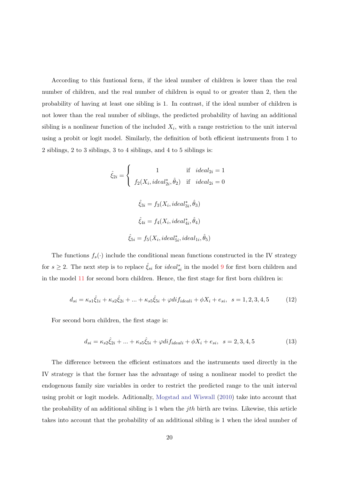According to this funtional form, if the ideal number of children is lower than the real number of children, and the real number of children is equal to or greater than 2, then the probability of having at least one sibling is 1. In contrast, if the ideal number of children is not lower than the real number of siblings, the predicted probability of having an additional sibling is a nonlinear function of the included  $X_i$ , with a range restriction to the unit interval using a probit or logit model. Similarly, the definition of both efficient instruments from 1 to 2 siblings, 2 to 3 siblings, 3 to 4 siblings, and 4 to 5 siblings is:

$$
\hat{\xi}_{2i} = \begin{cases}\n1 & \text{if } ideal_{2i} = 1 \\
f_2(X_i, ideal_{2i}^*, \hat{\theta}_2) & \text{if } ideal_{2i} = 0\n\end{cases}
$$
\n
$$
\hat{\xi}_{3i} = f_3(X_i, ideal_{3i}^*, \hat{\theta}_3)
$$
\n
$$
\hat{\xi}_{4i} = f_4(X_i, ideal_{4i}^*, \hat{\theta}_4)
$$
\n
$$
\hat{\xi}_{5i} = f_5(X_i, ideal_{5i}^*, ideal_{1i}^*, \hat{\theta}_5)
$$

The functions  $f_s(\cdot)$  include the conditional mean functions constructed in the IV strategy for  $s \geq 2$ . The next step is to replace  $\hat{\xi}_{si}$  for *ideal*<sup>\*</sup><sub>si</sub> in the model [9](#page-19-0) for first born children and in the model [11](#page-19-1) for second born children. Hence, the first stage for first born children is:

$$
d_{si} = \kappa_{s1}\hat{\xi}_{1i} + \kappa_{s2}\hat{\xi}_{2i} + \dots + \kappa_{s5}\hat{\xi}_{5i} + \varphi \,di\,f_{ideali} + \phi X_i + e_{si}, \quad s = 1, 2, 3, 4, 5 \tag{12}
$$

For second born children, the first stage is:

$$
d_{si} = \kappa_{s2}\hat{\xi}_{2i} + \dots + \kappa_{s5}\hat{\xi}_{5i} + \varphi \,di\,f_{ideal} + \phi X_i + e_{si}, \ \ s = 2, 3, 4, 5 \tag{13}
$$

The difference between the efficient estimators and the instruments used directly in the IV strategy is that the former has the advantage of using a nonlinear model to predict the endogenous family size variables in order to restrict the predicted range to the unit interval using probit or logit models. Aditionally, [Mogstad and Wiswall](#page-31-2) [\(2010\)](#page-31-2) take into account that the probability of an additional sibling is 1 when the *jth* birth are twins. Likewise, this article takes into account that the probability of an additional sibling is 1 when the ideal number of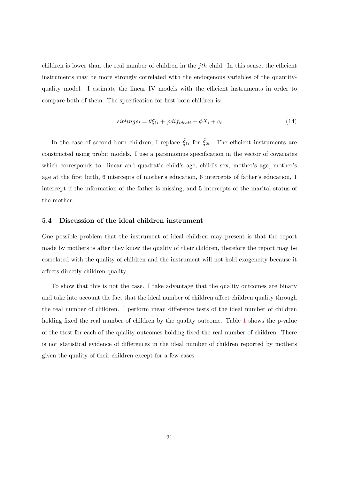children is lower than the real number of children in the  $ith$  child. In this sense, the efficient instruments may be more strongly correlated with the endogenous variables of the quantityquality model. I estimate the linear IV models with the efficient instruments in order to compare both of them. The specification for first born children is:

$$
sibling s_i = \theta \hat{\xi}_{1i} + \varphi \hat{di} f_{ideali} + \phi X_i + e_i \tag{14}
$$

In the case of second born children, I replace  $\hat{\xi}_{1i}$  for  $\hat{\xi}_{2i}$ . The efficient instruments are constructed using probit models. I use a parsimonius specification in the vector of covariates which corresponds to: linear and quadratic child's age, child's sex, mother's age, mother's age at the first birth, 6 intercepts of mother's education, 6 intercepts of father's education, 1 intercept if the information of the father is missing, and 5 intercepts of the marital status of the mother.

#### 5.4 Discussion of the ideal children instrument

One possible problem that the instrument of ideal children may present is that the report made by mothers is after they know the quality of their children, therefore the report may be correlated with the quality of children and the instrument will not hold exogeneity because it affects directly children quality.

To show that this is not the case. I take advantage that the quality outcomes are binary and take into account the fact that the ideal number of children affect children quality through the real number of children. I perform mean difference tests of the ideal number of children holding fixed the real number of children by the quality outcome. Table [1](#page-23-0) shows the p-value of the ttest for each of the quality outcomes holding fixed the real number of children. There is not statistical evidence of differences in the ideal number of children reported by mothers given the quality of their children except for a few cases.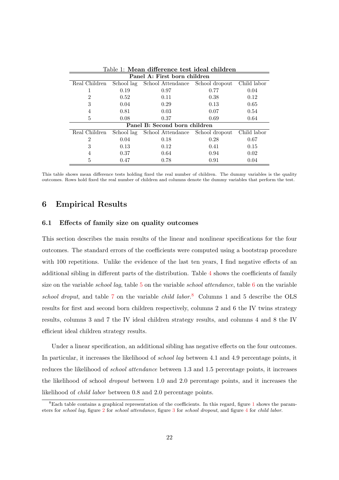<span id="page-23-0"></span>

| Panel A: First born children |            |                                  |                |             |  |  |  |  |  |  |
|------------------------------|------------|----------------------------------|----------------|-------------|--|--|--|--|--|--|
| Real Children                | School lag | School Attendance                | School dropout | Child labor |  |  |  |  |  |  |
|                              | 0.19       | 0.97                             | 0.77           | 0.04        |  |  |  |  |  |  |
| $\overline{2}$               | 0.52       | 0.11                             | 0.38           | 0.12        |  |  |  |  |  |  |
| 3                            | 0.04       | 0.29                             | 0.13           | 0.65        |  |  |  |  |  |  |
| 4                            | 0.81       | 0.03                             | 0.07           | 0.54        |  |  |  |  |  |  |
| 5                            | 0.08       | 0.37                             | 0.69           | 0.64        |  |  |  |  |  |  |
|                              |            | Panel B: Second born children    |                |             |  |  |  |  |  |  |
| Real Children                | School lag | School Attendance School dropout |                | Child labor |  |  |  |  |  |  |
| $\mathfrak{D}$               | 0.04       | 0.18                             | 0.28           | 0.67        |  |  |  |  |  |  |
| 3                            | 0.13       | 0.12                             | 0.41           | 0.15        |  |  |  |  |  |  |
| 4                            | 0.37       | 0.64                             | 0.94           | 0.02        |  |  |  |  |  |  |
| 5                            | 0.47       | 0.78                             | 0.91           | 0.04        |  |  |  |  |  |  |

Table 1: Mean difference test ideal children

This table shows mean difference tests holding fixed the real number of children. The dummy variables is the quality outcomes. Rows hold fixed the real number of children and columns denote the dummy variables that perform the test.

## 6 Empirical Results

#### 6.1 Effects of family size on quality outcomes

This section describes the main results of the linear and nonlinear specifications for the four outcomes. The standard errors of the coefficients were computed using a bootstrap procedure with 100 repetitions. Unlike the evidence of the last ten years, I find negative effects of an additional sibling in different parts of the distribution. Table [4](#page-35-0) shows the coefficients of family size on the variable *school lag*, table [5](#page-36-0) on the variable *school attendance*, table [6](#page-37-0) on the variable school droput, and table [7](#page-38-0) on the variable child labor.<sup>[8](#page-2-0)</sup> Columns 1 and 5 describe the OLS results for first and second born children respectively, columns 2 and 6 the IV twins strategy results, columns 3 and 7 the IV ideal children strategy results, and columns 4 and 8 the IV efficient ideal children strategy results.

Under a linear specification, an additional sibling has negative effects on the four outcomes. In particular, it increases the likelihood of *school lag* between 4.1 and 4.9 percentage points, it reduces the likelihood of *school attendance* between 1.3 and 1.5 percentage points, it increases the likelihood of school dropout between 1.0 and 2.0 percentage points, and it increases the likelihood of child labor between 0.8 and 2.0 percentage points.

<sup>8</sup>Each table contains a graphical representation of the coefficients. In this regard, figure [1](#page-35-1) shows the parameters for school lag, figure [2](#page-36-1) for school attendance, figure [3](#page-37-1) for school dropout, and figure [4](#page-38-1) for child labor.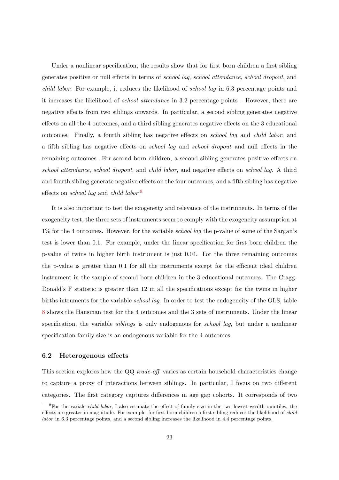Under a nonlinear specification, the results show that for first born children a first sibling generates positive or null effects in terms of school lag, school attendance, school dropout, and child labor. For example, it reduces the likelihood of school lag in 6.3 percentage points and it increases the likelihood of school attendance in 3.2 percentage points . However, there are negative effects from two siblings onwards. In particular, a second sibling generates negative effects on all the 4 outcomes, and a third sibling generates negative effects on the 3 educational outcomes. Finally, a fourth sibling has negative effects on school lag and child labor, and a fifth sibling has negative effects on school lag and school dropout and null effects in the remaining outcomes. For second born children, a second sibling generates positive effects on school attendance, school dropout, and child labor, and negative effects on school lag. A third and fourth sibling generate negative effects on the four outcomes, and a fifth sibling has negative effects on *school lag* and *child labor*.<sup>[9](#page-2-0)</sup>

It is also important to test the exogeneity and relevance of the instruments. In terms of the exogeneity test, the three sets of instruments seem to comply with the exogeneity assumption at 1% for the 4 outcomes. However, for the variable *school lag* the p-value of some of the Sargan's test is lower than 0.1. For example, under the linear specification for first born children the p-value of twins in higher birth instrument is just 0.04. For the three remaining outcomes the p-value is greater than 0.1 for all the instruments except for the efficient ideal children instrument in the sample of second born children in the 3 educational outcomes. The Cragg-Donald's F statistic is greater than 12 in all the specifications except for the twins in higher births intruments for the variable school lag. In order to test the endogeneity of the OLS, table [8](#page-39-0) shows the Hausman test for the 4 outcomes and the 3 sets of instruments. Under the linear specification, the variable *siblings* is only endogenous for *school lag*, but under a nonlinear specification family size is an endogenous variable for the 4 outcomes.

#### 6.2 Heterogenous effects

This section explores how the QQ trade-off varies as certain household characteristics change to capture a proxy of interactions between siblings. In particular, I focus on two different categories. The first category captures differences in age gap cohorts. It corresponds of two

 $^{9}$ For the variale *child labor*, I also estimate the effect of family size in the two lowest wealth quintiles, the effects are greater in magnitude. For example, for first born children a first sibling reduces the likelihood of child labor in 6.3 percentage points, and a second sibling increases the likelihood in 4.4 percentage points.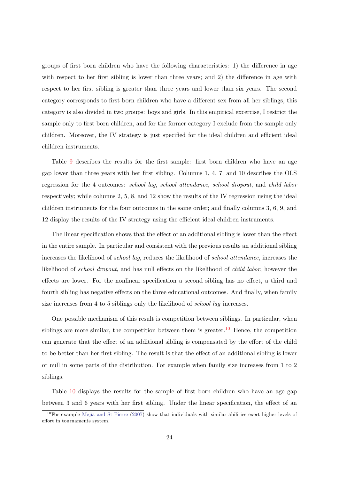groups of first born children who have the following characteristics: 1) the difference in age with respect to her first sibling is lower than three years; and 2) the difference in age with respect to her first sibling is greater than three years and lower than six years. The second category corresponds to first born children who have a different sex from all her siblings, this category is also divided in two groups: boys and girls. In this empirical excercise, I restrict the sample only to first born children, and for the former category I exclude from the sample only children. Moreover, the IV strategy is just specified for the ideal children and efficient ideal children instruments.

Table [9](#page-40-0) describes the results for the first sample: first born children who have an age gap lower than three years with her first sibling. Columns 1, 4, 7, and 10 describes the OLS regression for the 4 outcomes: school lag, school attendance, school dropout, and child labor respectively; while columns 2, 5, 8, and 12 show the results of the IV regression using the ideal children instruments for the four outcomes in the same order; and finally columns 3, 6, 9, and 12 display the results of the IV strategy using the efficient ideal children instruments.

The linear specification shows that the effect of an additional sibling is lower than the effect in the entire sample. In particular and consistent with the previous results an additional sibling increases the likelihood of school lag, reduces the likelihood of school attendance, increases the likelihood of *school dropout*, and has null effects on the likelihood of *child labor*, however the effects are lower. For the nonlinear specification a second sibling has no effect, a third and fourth sibling has negative effects on the three educational outcomes. And finally, when family size increases from 4 to 5 siblings only the likelihood of *school lag* increases.

One possible mechanism of this result is competition between siblings. In particular, when siblings are more similar, the competition between them is greater.<sup>[10](#page-2-0)</sup> Hence, the competition can generate that the effect of an additional sibling is compensated by the effort of the child to be better than her first sibling. The result is that the effect of an additional sibling is lower or null in some parts of the distribution. For example when family size increases from 1 to 2 siblings.

Table [10](#page-40-1) displays the results for the sample of first born children who have an age gap between 3 and 6 years with her first sibling. Under the linear specification, the effect of an

 $10$ For example Mejía and St-Pierre [\(2007\)](#page-31-10) show that individuals with similar abilities exert higher levels of effort in tournaments system.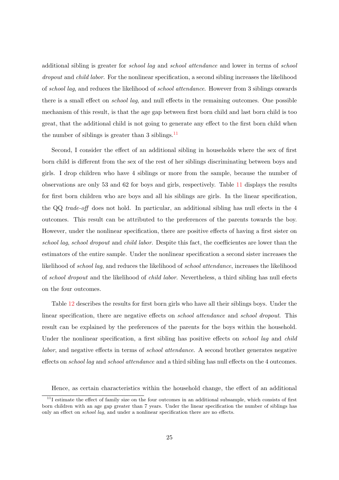additional sibling is greater for school lag and school attendance and lower in terms of school dropout and *child labor*. For the nonlinear specification, a second sibling increases the likelihood of school lag, and reduces the likelihood of school attendance. However from 3 siblings onwards there is a small effect on school lag, and null effects in the remaining outcomes. One possible mechanism of this result, is that the age gap between first born child and last born child is too great, that the additional child is not going to generate any effect to the first born child when the number of siblings is greater than 3 siblings.<sup>[11](#page-2-0)</sup>

Second, I consider the effect of an additional sibling in households where the sex of first born child is different from the sex of the rest of her siblings discriminating between boys and girls. I drop children who have 4 siblings or more from the sample, because the number of observations are only 53 and 62 for boys and girls, respectively. Table [11](#page-41-0) displays the results for first born children who are boys and all his siblings are girls. In the linear specification, the QQ trade-off does not hold. In particular, an additional sibling has null efects in the 4 outcomes. This result can be attributed to the preferences of the parents towards the boy. However, under the nonlinear specification, there are positive effects of having a first sister on school lag, school dropout and child labor. Despite this fact, the coefficientes are lower than the estimators of the entire sample. Under the nonlinear specification a second sister increases the likelihood of school lag, and reduces the likelihood of school attendance, increases the likelihood of school dropout and the likelihood of child labor. Nevertheless, a third sibling has null efects on the four outcomes.

Table [12](#page-41-1) describes the results for first born girls who have all their siblings boys. Under the linear specification, there are negative effects on *school attendance* and *school dropout*. This result can be explained by the preferences of the parents for the boys within the household. Under the nonlinear specification, a first sibling has positive effects on *school lag* and *child* labor, and negative effects in terms of *school attendance*. A second brother generates negative effects on *school lag* and *school attendance* and a third sibling has null effects on the 4 outcomes.

Hence, as certain characteristics within the household change, the effect of an additional

 $11$ I estimate the effect of family size on the four outcomes in an additional subsample, which consists of first born children with an age gap greater than 7 years. Under the linear specification the number of siblings has only an effect on school lag, and under a nonlinear specification there are no effects.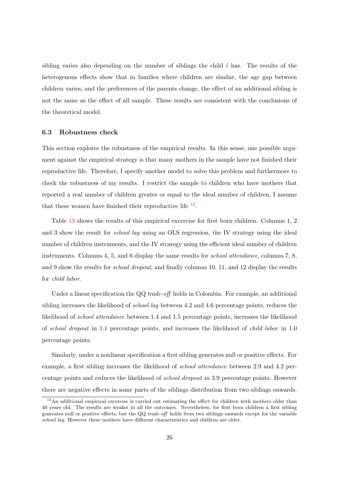sibling varies also depending on the number of siblings the child  $i$  has. The results of the heterogenous effects show that in families where children are similar, the age gap between children varies, and the preferences of the parents change, the effect of an additional sibling is not the same as the effect of all sample. These results are consistent with the conclusions of the theoretical model.

#### 6.3 Robustness check

This section explores the robustness of the empirical results. In this sense, one possible argument against the empirical strategy is that many mothers in the sample have not finished their reproductive life. Therefore, I specify another model to solve this problem and furthermore to check the robustness of my results. I restrict the sample to children who have mothers that reported a real number of children greater or equal to the ideal number of children, I assume that these women have finished their reproductive life  $^{12}$  $^{12}$  $^{12}$ .

Table [13](#page-42-0) shows the results of this empirical excercise for first born children. Columns 1, 2 and 3 show the result for school lag using an OLS regression, the IV strategy using the ideal number of children instruments, and the IV strategy using the efficient ideal number of children instruments. Columns 4, 5, and 6 display the same results for *school attendance*, columns 7, 8, and 9 show the results for *school dropout*, and finally columns 10, 11, and 12 display the results for child labor.

Under a linear specification the QQ trade-off holds in Colombia. For example, an additional sibling increases the likelihood of *school lag* between 4.2 and 4.6 percentage points, reduces the likelihood of school attendance between 1.4 and 1.5 percentage points, increases the likelihood of school dropout in 1.1 percentage points, and increases the likelihood of child labor in 1.0 percentage points.

Similarly, under a nonlinear specification a first sibling generates null or positive effects. For example, a first sibling increases the likelihood of school attendance between 2.9 and 4.2 percentage points and reduces the likelihood of school dropout in 3.9 percentage points. However there are negative effects in some parts of the siblings distribution from two siblings onwards.

<sup>&</sup>lt;sup>12</sup>An additional empirical excercise is carried out estimating the effect for children with mothers older than 40 years old. The results are weaker in all the outcomes. Nevertheless, for first born children a first sibling generates null or positive effects, but the QQ trade-off holds from two siblings onwards except for the variable school lag. However these mothers have different characteristics and children are older.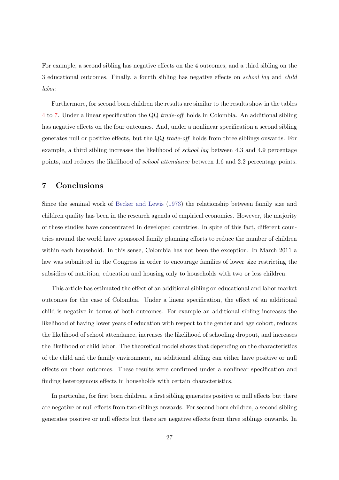For example, a second sibling has negative effects on the 4 outcomes, and a third sibling on the 3 educational outcomes. Finally, a fourth sibling has negative effects on school lag and child labor.

Furthermore, for second born children the results are similar to the results show in the tables [4](#page-35-0) to [7.](#page-38-0) Under a linear specification the QQ trade-off holds in Colombia. An additional sibling has negative effects on the four outcomes. And, under a nonlinear specification a second sibling generates null or positive effects, but the QQ trade-off holds from three siblings onwards. For example, a third sibling increases the likelihood of *school lag* between 4.3 and 4.9 percentage points, and reduces the likelihood of school attendance between 1.6 and 2.2 percentage points.

# 7 Conclusions

Since the seminal work of [Becker and Lewis](#page-30-0) [\(1973\)](#page-30-0) the relationship between family size and children quality has been in the research agenda of empirical economics. However, the majority of these studies have concentrated in developed countries. In spite of this fact, different countries around the world have sponsored family planning efforts to reduce the number of children within each household. In this sense, Colombia has not been the exception. In March 2011 a law was submitted in the Congress in order to encourage families of lower size restricting the subsidies of nutrition, education and housing only to households with two or less children.

This article has estimated the effect of an additional sibling on educational and labor market outcomes for the case of Colombia. Under a linear specification, the effect of an additional child is negative in terms of both outcomes. For example an additional sibling increases the likelihood of having lower years of education with respect to the gender and age cohort, reduces the likelihood of school attendance, increases the likelihood of schooling dropout, and increases the likelihood of child labor. The theoretical model shows that depending on the characteristics of the child and the family environment, an additional sibling can either have positive or null effects on those outcomes. These results were confirmed under a nonlinear specification and finding heterogenous effects in households with certain characteristics.

In particular, for first born children, a first sibling generates positive or null effects but there are negative or null effects from two siblings onwards. For second born children, a second sibling generates positive or null effects but there are negative effects from three siblings onwards. In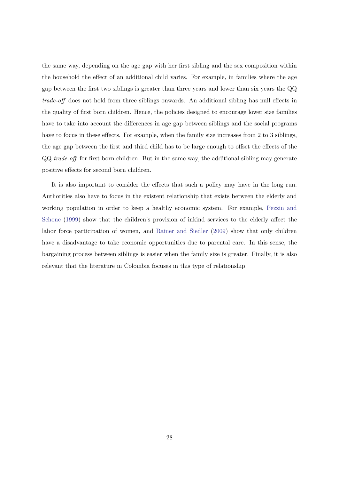the same way, depending on the age gap with her first sibling and the sex composition within the household the effect of an additional child varies. For example, in families where the age gap between the first two siblings is greater than three years and lower than six years the QQ trade-off does not hold from three siblings onwards. An additional sibling has null effects in the quality of first born children. Hence, the policies designed to encourage lower size families have to take into account the differences in age gap between siblings and the social programs have to focus in these effects. For example, when the family size increases from 2 to 3 siblings, the age gap between the first and third child has to be large enough to offset the effects of the QQ trade-off for first born children. But in the same way, the additional sibling may generate positive effects for second born children.

It is also important to consider the effects that such a policy may have in the long run. Authorities also have to focus in the existent relationship that exists between the elderly and working population in order to keep a healthy economic system. For example, [Pezzin and](#page-31-11) [Schone](#page-31-11) [\(1999\)](#page-31-11) show that the children's provision of inkind services to the elderly affect the labor force participation of women, and [Rainer and Siedler](#page-32-5) [\(2009\)](#page-32-5) show that only children have a disadvantage to take economic opportunities due to parental care. In this sense, the bargaining process between siblings is easier when the family size is greater. Finally, it is also relevant that the literature in Colombia focuses in this type of relationship.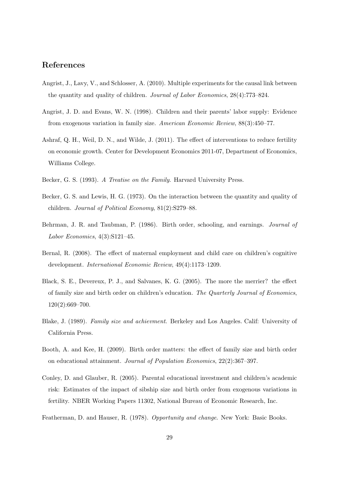## References

- <span id="page-30-6"></span>Angrist, J., Lavy, V., and Schlosser, A. (2010). Multiple experiments for the causal link between the quantity and quality of children. Journal of Labor Economics, 28(4):773–824.
- <span id="page-30-2"></span>Angrist, J. D. and Evans, W. N. (1998). Children and their parents' labor supply: Evidence from exogenous variation in family size. American Economic Review, 88(3):450–77.
- <span id="page-30-1"></span>Ashraf, Q. H., Weil, D. N., and Wilde, J. (2011). The effect of interventions to reduce fertility on economic growth. Center for Development Economics 2011-07, Department of Economics, Williams College.
- <span id="page-30-10"></span>Becker, G. S. (1993). A Treatise on the Family. Harvard University Press.
- <span id="page-30-0"></span>Becker, G. S. and Lewis, H. G. (1973). On the interaction between the quantity and quality of children. Journal of Political Economy, 81(2):S279–88.
- <span id="page-30-5"></span>Behrman, J. R. and Taubman, P. (1986). Birth order, schooling, and earnings. *Journal of* Labor Economics, 4(3):S121–45.
- <span id="page-30-11"></span>Bernal, R. (2008). The effect of maternal employment and child care on children's cognitive development. International Economic Review, 49(4):1173–1209.
- <span id="page-30-7"></span>Black, S. E., Devereux, P. J., and Salvanes, K. G. (2005). The more the merrier? the effect of family size and birth order on children's education. The Quarterly Journal of Economics, 120(2):669–700.
- <span id="page-30-4"></span>Blake, J. (1989). Family size and achievment. Berkeley and Los Angeles. Calif: University of California Press.
- <span id="page-30-9"></span>Booth, A. and Kee, H. (2009). Birth order matters: the effect of family size and birth order on educational attainment. Journal of Population Economics, 22(2):367–397.
- <span id="page-30-8"></span>Conley, D. and Glauber, R. (2005). Parental educational investment and children's academic risk: Estimates of the impact of sibship size and birth order from exogenous variations in fertility. NBER Working Papers 11302, National Bureau of Economic Research, Inc.
- <span id="page-30-3"></span>Featherman, D. and Hauser, R. (1978). Opportunity and change. New York: Basic Books.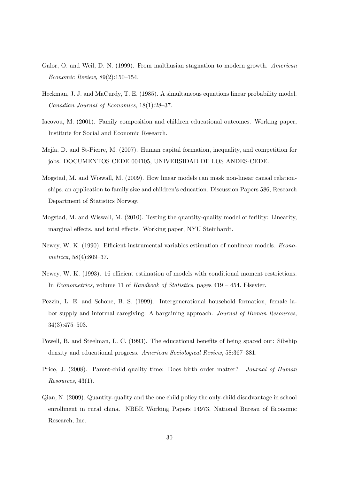- <span id="page-31-0"></span>Galor, O. and Weil, D. N. (1999). From malthusian stagnation to modern growth. American Economic Review, 89(2):150–154.
- <span id="page-31-7"></span>Heckman, J. J. and MaCurdy, T. E. (1985). A simultaneous equations linear probability model. Canadian Journal of Economics, 18(1):28–37.
- <span id="page-31-4"></span>Iacovou, M. (2001). Family composition and children educational outcomes. Working paper, Institute for Social and Economic Research.
- <span id="page-31-10"></span>Mej´ıa, D. and St-Pierre, M. (2007). Human capital formation, inequality, and competition for jobs. DOCUMENTOS CEDE 004105, UNIVERSIDAD DE LOS ANDES-CEDE.
- <span id="page-31-6"></span>Mogstad, M. and Wiswall, M. (2009). How linear models can mask non-linear causal relationships. an application to family size and children's education. Discussion Papers 586, Research Department of Statistics Norway.
- <span id="page-31-2"></span>Mogstad, M. and Wiswall, M. (2010). Testing the quantity-quality model of ferility: Linearity, marginal effects, and total effects. Working paper, NYU Steinhardt.
- <span id="page-31-8"></span>Newey, W. K. (1990). Efficient instrumental variables estimation of nonlinear models. Econometrica, 58(4):809–37.
- <span id="page-31-9"></span>Newey, W. K. (1993). 16 efficient estimation of models with conditional moment restrictions. In Econometrics, volume 11 of Handbook of Statistics, pages 419 – 454. Elsevier.
- <span id="page-31-11"></span>Pezzin, L. E. and Schone, B. S. (1999). Intergenerational household formation, female labor supply and informal caregiving: A bargaining approach. Journal of Human Resources, 34(3):475–503.
- <span id="page-31-3"></span>Powell, B. and Steelman, L. C. (1993). The educational benefits of being spaced out: Sibship density and educational progress. American Sociological Review, 58:367–381.
- <span id="page-31-5"></span>Price, J. (2008). Parent-child quality time: Does birth order matter? Journal of Human Resources, 43(1).
- <span id="page-31-1"></span>Qian, N. (2009). Quantity-quality and the one child policy:the only-child disadvantage in school enrollment in rural china. NBER Working Papers 14973, National Bureau of Economic Research, Inc.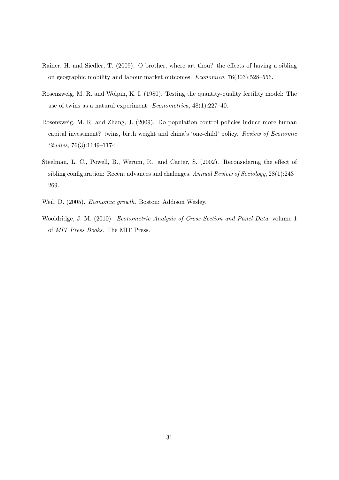- <span id="page-32-5"></span>Rainer, H. and Siedler, T. (2009). O brother, where art thou? the effects of having a sibling on geographic mobility and labour market outcomes. Economica, 76(303):528–556.
- <span id="page-32-1"></span>Rosenzweig, M. R. and Wolpin, K. I. (1980). Testing the quantity-quality fertility model: The use of twins as a natural experiment. Econometrica, 48(1):227–40.
- <span id="page-32-3"></span>Rosenzweig, M. R. and Zhang, J. (2009). Do population control policies induce more human capital investment? twins, birth weight and china's 'one-child' policy. Review of Economic Studies, 76(3):1149–1174.
- <span id="page-32-2"></span>Steelman, L. C., Powell, B., Werum, R., and Carter, S. (2002). Reconsidering the effect of sibling configuration: Recent advances and chalenges. Annual Review of Sociology, 28(1):243– 269.
- <span id="page-32-0"></span>Weil, D. (2005). Economic growth. Boston: Addison Wesley.
- <span id="page-32-4"></span>Wooldridge, J. M. (2010). Econometric Analysis of Cross Section and Panel Data, volume 1 of MIT Press Books. The MIT Press.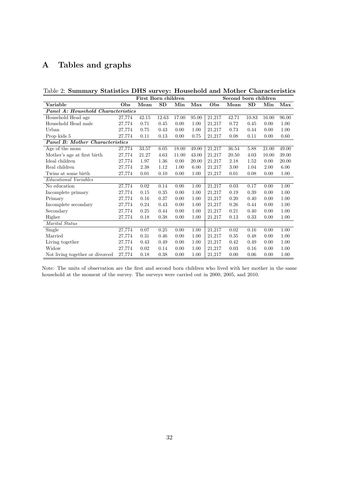# A Tables and graphs

<span id="page-33-0"></span>Table 2: Summary Statistics DHS survey: Household and Mother Characteristics

|                                        |        | First Born children |           |       |       |        | Second born children |           |       |       |
|----------------------------------------|--------|---------------------|-----------|-------|-------|--------|----------------------|-----------|-------|-------|
| Variable                               | Obs    | Mean                | <b>SD</b> | Min   | Max   | Obs    | Mean                 | <b>SD</b> | Min   | Max   |
| Panel A: Household Characteristics     |        |                     |           |       |       |        |                      |           |       |       |
| Household Head age                     | 27,774 | 42.15               | 12.63     | 17.00 | 95.00 | 21,217 | 42.71                | 10.83     | 16.00 | 96.00 |
| Household Head male                    | 27,774 | 0.71                | 0.45      | 0.00  | 1.00  | 21,217 | 0.72                 | 0.45      | 0.00  | 1.00  |
| Urban                                  | 27,774 | 0.75                | 0.43      | 0.00  | 1.00  | 21,217 | 0.73                 | 0.44      | 0.00  | 1.00  |
| Prop kids 5                            | 27,774 | 0.11                | 0.13      | 0.00  | 0.75  | 21,217 | 0.08                 | 0.11      | 0.00  | 0.60  |
| <b>Panel B: Mother Characteristics</b> |        |                     |           |       |       |        |                      |           |       |       |
| Age of the mom                         | 27,774 | 33.57               | 6.05      | 18.00 | 49.00 | 21,217 | 36.54                | 5.88      | 21.00 | 49.00 |
| Mother's age at first birth            | 27,774 | 21.27               | 4.63      | 11.00 | 43.00 | 21,217 | 20.50                | 4.03      | 10.00 | 39.00 |
| Ideal children                         | 27,774 | 1.97                | 1.36      | 0.00  | 20.00 | 21,217 | 2.18                 | 1.52      | 0.00  | 20.00 |
| Real children                          | 27,774 | 2.38                | 1.12      | 1.00  | 6.00  | 21,217 | 3.00                 | 1.04      | 2.00  | 6.00  |
| Twins at some birth                    | 27,774 | 0.01                | 0.10      | 0.00  | 1.00  | 21,217 | 0.01                 | 0.08      | 0.00  | 1.00  |
| <i>Educational Variables</i>           |        |                     |           |       |       |        |                      |           |       |       |
| No education                           | 27,774 | 0.02                | 0.14      | 0.00  | 1.00  | 21,217 | 0.03                 | 0.17      | 0.00  | 1.00  |
| Incomplete primary                     | 27,774 | 0.15                | 0.35      | 0.00  | 1.00  | 21,217 | 0.19                 | 0.39      | 0.00  | 1.00  |
| Primary                                | 27,774 | 0.16                | 0.37      | 0.00  | 1.00  | 21,217 | 0.20                 | 0.40      | 0.00  | 1.00  |
| Incomplete secondary                   | 27,774 | 0.24                | 0.43      | 0.00  | 1.00  | 21,217 | 0.26                 | 0.44      | 0.00  | 1.00  |
| Secondary                              | 27,774 | 0.25                | 0.44      | 0.00  | 1.00  | 21,217 | 0.21                 | 0.40      | 0.00  | 1.00  |
| Higher                                 | 27,774 | 0.18                | 0.38      | 0.00  | 1.00  | 21,217 | 0.13                 | 0.33      | 0.00  | 1.00  |
| Marital Status                         |        |                     |           |       |       |        |                      |           |       |       |
| Single                                 | 27,774 | 0.07                | 0.25      | 0.00  | 1.00  | 21,217 | 0.02                 | 0.16      | 0.00  | 1.00  |
| Married                                | 27,774 | 0.31                | 0.46      | 0.00  | 1.00  | 21,217 | 0.35                 | 0.48      | 0.00  | 1.00  |
| Living together                        | 27,774 | 0.43                | 0.49      | 0.00  | 1.00  | 21,217 | 0.42                 | 0.49      | 0.00  | 1.00  |
| Widow                                  | 27,774 | 0.02                | 0.14      | 0.00  | 1.00  | 21,217 | 0.03                 | 0.16      | 0.00  | 1.00  |
| Not living together or divorced        | 27,774 | 0.18                | 0.38      | 0.00  | 1.00  | 21,217 | 0.00                 | 0.06      | 0.00  | 1.00  |

Note: The units of observation are the first and second born children who lived with her mother in the same household at the moment of the survey. The surveys were carried out in 2000, 2005, and 2010.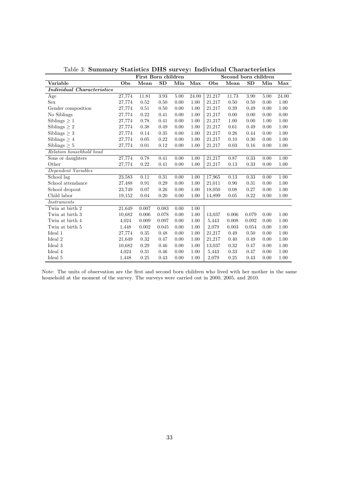<span id="page-34-0"></span>

|                                   |        | First Born children |           |      |       |        | Second born children |       |      |       |
|-----------------------------------|--------|---------------------|-----------|------|-------|--------|----------------------|-------|------|-------|
| Variable                          | Obs    | Mean                | <b>SD</b> | Min  | Max   | Obs    | Mean                 | SD    | Min  | Max   |
| <b>Individual Characteristics</b> |        |                     |           |      |       |        |                      |       |      |       |
| Age                               | 27,774 | 11.81               | 3.93      | 5.00 | 24.00 | 21,217 | 11.73                | 3.90  | 5.00 | 24.00 |
| Sex                               | 27,774 | 0.52                | 0.50      | 0.00 | 1.00  | 21,217 | 0.50                 | 0.50  | 0.00 | 1.00  |
| Gender composition                | 27,774 | 0.51                | 0.50      | 0.00 | 1.00  | 21,217 | 0.39                 | 0.49  | 0.00 | 1.00  |
| No Siblings                       | 27,774 | 0.22                | 0.41      | 0.00 | 1.00  | 21,217 | 0.00                 | 0.00  | 0.00 | 0.00  |
| Siblings $\geq 1$                 | 27,774 | 0.78                | 0.41      | 0.00 | 1.00  | 21,217 | 1.00                 | 0.00  | 1.00 | 1.00  |
| Siblings $> 2$                    | 27,774 | 0.38                | 0.49      | 0.00 | 1.00  | 21,217 | 0.61                 | 0.49  | 0.00 | 1.00  |
| Siblings $>$ 3                    | 27,774 | 0.14                | 0.35      | 0.00 | 1.00  | 21,217 | 0.26                 | 0.44  | 0.00 | 1.00  |
| Siblings $> 4$                    | 27,774 | 0.05                | 0.22      | 0.00 | 1.00  | 21,217 | 0.10                 | 0.30  | 0.00 | 1.00  |
| Siblings $\geq 5$                 | 27,774 | 0.01                | 0.12      | 0.00 | 1.00  | 21,217 | 0.03                 | 0.16  | 0.00 | 1.00  |
| Relation househhold head          |        |                     |           |      |       |        |                      |       |      |       |
| Sons or daughters                 | 27,774 | 0.78                | 0.41      | 0.00 | 1.00  | 21,217 | 0.87                 | 0.33  | 0.00 | 1.00  |
| Other                             | 27,774 | 0.22                | 0.41      | 0.00 | 1.00  | 21,217 | 0.13                 | 0.33  | 0.00 | 1.00  |
| Dependent Variables               |        |                     |           |      |       |        |                      |       |      |       |
| School lag                        | 23,583 | 0.11                | 0.31      | 0.00 | 1.00  | 17,965 | 0.13                 | 0.33  | 0.00 | 1.00  |
| School attendance                 | 27,488 | $\rm 0.91$          | 0.29      | 0.00 | 1.00  | 21,011 | 0.90                 | 0.31  | 0.00 | 1.00  |
| School dropout                    | 23,749 | 0.07                | 0.26      | 0.00 | 1.00  | 18,050 | 0.08                 | 0.27  | 0.00 | 1.00  |
| Child labor                       | 19,152 | 0.04                | 0.20      | 0.00 | 1.00  | 14,899 | 0.05                 | 0.22  | 0.00 | 1.00  |
| Instruments                       |        |                     |           |      |       |        |                      |       |      |       |
| Twin at birth 2                   | 21,649 | 0.007               | 0.083     | 0.00 | 1.00  |        |                      |       |      |       |
| Twin at birth 3                   | 10,682 | 0.006               | 0.078     | 0.00 | 1.00  | 13,037 | 0.006                | 0.079 | 0.00 | 1.00  |
| Twin at birth 4                   | 4,024  | 0.009               | 0.097     | 0.00 | 1.00  | 5,443  | 0.008                | 0.092 | 0.00 | 1.00  |
| Twin at birth 5                   | 1,448  | 0.002               | 0.045     | 0.00 | 1.00  | 2,079  | 0.003                | 0.054 | 0.00 | 1.00  |
| Ideal 1                           | 27,774 | 0.35                | 0.48      | 0.00 | 1.00  | 21,217 | 0.49                 | 0.50  | 0.00 | 1.00  |
| Ideal 2                           | 21,649 | 0.32                | 0.47      | 0.00 | 1.00  | 21,217 | 0.40                 | 0.49  | 0.00 | 1.00  |
| Ideal 3                           | 10.682 | 0.29                | 0.46      | 0.00 | 1.00  | 13,037 | 0.32                 | 0.47  | 0.00 | 1.00  |
| Ideal 4                           | 4,024  | 0.31                | 0.46      | 0.00 | 1.00  | 5,443  | 0.33                 | 0.47  | 0.00 | 1.00  |
| Ideal 5                           | 1,448  | 0.25                | 0.43      | 0.00 | 1.00  | 2,079  | 0.25                 | 0.43  | 0.00 | 1.00  |

Table 3: Summary Statistics DHS survey: Individual Characteristics

Note: The units of observation are the first and second born children who lived with her mother in the same household at the moment of the survey. The surveys were carried out in 2000, 2005, and 2010.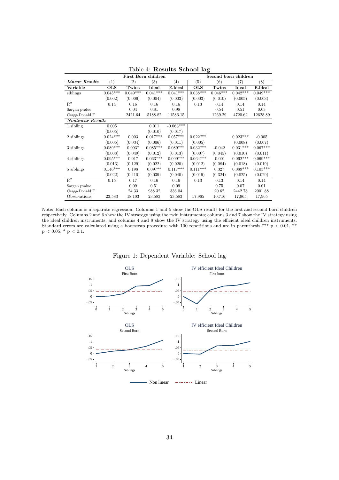<span id="page-35-0"></span>

|                           |            |            | First Born children |             | ັ          | Second born children |            |            |  |  |  |  |
|---------------------------|------------|------------|---------------------|-------------|------------|----------------------|------------|------------|--|--|--|--|
| Linear Results            | (1)        | (2)        | (3)                 | (4)         | (5)        | (6)                  | (7)        | (8)        |  |  |  |  |
| Variable                  | <b>OLS</b> | Twins      | Ideal               | E.Ideal     | <b>OLS</b> | Twins                | Ideal      | E.Ideal    |  |  |  |  |
| siblings                  | $0.045***$ | $0.049***$ | $0.041***$          | $0.041***$  | $0.038***$ | $0.046***$           | $0.042***$ | $0.049***$ |  |  |  |  |
|                           | (0.002)    | (0.006)    | (0.004)             | (0.003)     | (0.003)    | (0.010)              | (0.005)    | (0.003)    |  |  |  |  |
| $\overline{\mathrm{R}^2}$ | 0.14       | 0.16       | 0.16                | 0.16        | 0.13       | 0.14                 | 0.14       | 0.14       |  |  |  |  |
| Sargan pvalue             |            | 0.04       | 0.81                | 0.98        |            | 0.54                 | 0.51       | 0.03       |  |  |  |  |
| Cragg-Donald F            |            | 2421.64    | 5188.82             | 11586.15    |            | 1269.29              | 4720.62    | 12628.89   |  |  |  |  |
| <b>Nonlinear Results</b>  |            |            |                     |             |            |                      |            |            |  |  |  |  |
| 1 sibling                 | 0.005      |            | 0.011               | $-0.063***$ |            |                      |            |            |  |  |  |  |
|                           | (0.005)    |            | (0.010)             | (0.017)     |            |                      |            |            |  |  |  |  |
| 2 siblings                | $0.024***$ | 0.003      | $0.017***$          | $0.057***$  | $0.022***$ |                      | $0.023***$ | $-0.005$   |  |  |  |  |
|                           | (0.005)    | (0.034)    | (0.006)             | (0.011)     | (0.005)    |                      | (0.008)    | (0.007)    |  |  |  |  |
| 3 siblings                | $0.089***$ | $0.093*$   | $0.085***$          | $0.089***$  | $0.032***$ | $-0.042$             | $0.031***$ | $0.067***$ |  |  |  |  |
|                           | (0.008)    | (0.049)    | (0.012)             | (0.013)     | (0.007)    | (0.045)              | (0.010)    | (0.011)    |  |  |  |  |
| 4 siblings                | $0.095***$ | 0.017      | $0.063***$          | $0.099***$  | $0.064***$ | $-0.001$             | $0.062***$ | $0.069***$ |  |  |  |  |
|                           | (0.013)    | (0.129)    | (0.022)             | (0.020)     | (0.012)    | (0.084)              | (0.018)    | (0.019)    |  |  |  |  |
| 5 siblings                | $0.146***$ | 0.198      | $0.097**$           | $0.117***$  | $0.111***$ | 0.327                | $0.089***$ | $0.103***$ |  |  |  |  |
|                           | (0.022)    | (0.410)    | (0.039)             | (0.040)     | (0.019)    | (0.324)              | (0.025)    | (0.029)    |  |  |  |  |
| $\mathbb{R}^2$            | 0.15       | 0.17       | 0.16                | 0.16        | 0.13       | 0.13                 | 0.14       | 0.14       |  |  |  |  |
| Sargan pvalue             |            | 0.09       | 0.51                | 0.09        |            | 0.75                 | 0.07       | 0.01       |  |  |  |  |
| Cragg-Donald F            |            | 24.33      | 988.32              | 336.04      |            | 20.62                | 2442.78    | 2001.88    |  |  |  |  |
| Observations              | 23,583     | 18,103     | 23,583              | 23,583      | 17,965     | 10,716               | 17,965     | 17,965     |  |  |  |  |

Table 4: Results School lag

<span id="page-35-1"></span>Note: Each column is a separate regression. Columns 1 and 5 show the OLS results for the first and second born children respectively. Columns 2 and 6 show the IV strategy using the twin instruments; columns 3 and 7 show the IV strategy using the ideal children instruments; and columns 4 and 8 show the IV strategy using the efficient ideal children instruments. Standard errors are calculated using a bootstrap procedure with 100 repetitions and are in parenthesis.\*\*\*  $p < 0.01$ ,\*\*  $\rm p$   $<$  0.05, \*  $\rm p$   $<$  0.1.



#### Figure 1: Dependent Variable: School lag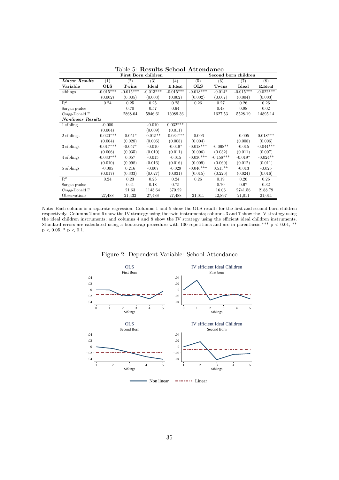<span id="page-36-0"></span>

|                          |             |                   | First Born children    |                   |             | Second born children |             |                 |
|--------------------------|-------------|-------------------|------------------------|-------------------|-------------|----------------------|-------------|-----------------|
| <b>Linear Results</b>    | (1)         | $\left( 2\right)$ | $\left( 3\right)$      | $\left( 4\right)$ | (5)         | (6)                  | (7)         | (8)             |
| Variable                 | OLS         | Twins             | Ideal                  | E.Ideal           | <b>OLS</b>  | Twins                | Ideal       | E.Ideal         |
| siblings                 | $-0.015***$ | $-0.015***$       | $-0.01\overline{3***}$ | $-0.015***$       | $-0.018***$ | $-0.014*$            | $-0.015***$ | $-0.022***$     |
|                          | (0.002)     | (0.005)           | (0.003)                | (0.002)           | (0.002)     | (0.007)              | (0.004)     | (0.003)         |
| $\mathbb{R}^2$           | 0.24        | 0.25              | 0.25                   | 0.25              | 0.26        | 0.27                 | 0.26        | 0.26            |
| Sargan pyalue            |             | 0.70              | 0.57                   | 0.64              |             | 0.48                 | 0.98        | 0.02            |
| Cragg-Donald F           |             | 2868.04           | 5946.61                | 13089.36          |             | 1627.53              | 5528.19     | 14895.14        |
| <b>Nonlinear Results</b> |             |                   |                        |                   |             |                      |             |                 |
| 1 sibling                | $-0.000$    |                   | $-0.010$               | $0.032***$        |             |                      |             |                 |
|                          | (0.004)     |                   | (0.009)                | (0.011)           |             |                      |             |                 |
| 2 siblings               | $-0.020***$ | $-0.051*$         | $-0.015**$             | $-0.034***$       | $-0.006$    |                      | $-0.005$    | $0.018^{***}\,$ |
|                          | (0.004)     | (0.028)           | (0.006)                | (0.008)           | (0.004)     |                      | (0.008)     | (0.006)         |
| 3 siblings               | $-0.017***$ | $-0.057*$         | $-0.010$               | $-0.019*$         | $-0.018***$ | $-0.068**$           | $-0.015$    | $-0.044***$     |
|                          | (0.006)     | (0.035)           | (0.010)                | (0.011)           | (0.006)     | (0.032)              | (0.011)     | (0.007)         |
| 4 siblings               | $-0.030***$ | 0.057             | $-0.015$               | $-0.015$          | $-0.030***$ | $-0.158***$          | $-0.019*$   | $-0.024**$      |
|                          | (0.010)     | (0.098)           | (0.016)                | (0.016)           | (0.009)     | (0.060)              | (0.012)     | (0.011)         |
| 5 siblings               | $-0.005$    | 0.216             | $-0.007$               | $-0.029$          | $-0.046***$ | $0.513**$            | $-0.013$    | $-0.025$        |
|                          | (0.017)     | (0.333)           | (0.027)                | (0.031)           | (0.015)     | (0.226)              | (0.024)     | (0.016)         |
| $R^2$                    | 0.24        | 0.23              | 0.25                   | 0.24              | 0.26        | 0.19                 | 0.26        | 0.26            |
| Sargan pvalue            |             | 0.41              | 0.18                   | 0.75              |             | 0.70                 | 0.67        | 0.32            |
| Cragg-Donald F           |             | 21.63             | 1143.64                | 370.22            |             | 16.06                | 2741.56     | 2188.79         |
| Observations             | 27,488      | 21,432            | 27,488                 | 27,488            | 21,011      | 12,897               | 21,011      | 21,011          |

Table 5: Results School Attendance

Note: Each column is a separate regression. Columns 1 and 5 show the OLS results for the first and second born children respectively. Columns 2 and 6 show the IV strategy using the twin instruments; columns 3 and 7 show the IV strategy using the ideal children instruments; and columns 4 and 8 show the IV strategy using the efficient ideal children instruments. Standard errors are calculated using a bootstrap procedure with 100 repetitions and are in parenthesis.\*\*\*  $p < 0.01$ ,\*\*  $p < 0.05, * p < 0.1.$ 

<span id="page-36-1"></span>

Figure 2: Dependent Variable: School Attendance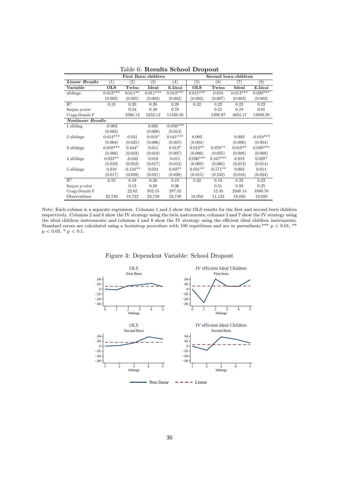<span id="page-37-0"></span>

|                           |            |            | First Born children |             | Second born children |            |            |             |  |  |  |
|---------------------------|------------|------------|---------------------|-------------|----------------------|------------|------------|-------------|--|--|--|
| Linear Results            | (1)        | (2)        | (3)                 | (4)         | (5)                  | (6)        | (7)        | (8)         |  |  |  |
| Variable                  | <b>OLS</b> | Twins      | Ideal               | E.Ideal     | <b>OLS</b>           | Twins      | Ideal      | E.Ideal     |  |  |  |
| siblings                  | $0.012***$ | $0.011**$  | $0.011***$          | $0.013***$  | $0.015***$           | 0.010      | $0.014***$ | $0.020***$  |  |  |  |
|                           | (0.002)    | (0.005)    | (0.003)             | (0.002)     | (0.002)              | (0.007)    | (0.003)    | (0.003)     |  |  |  |
| $\overline{\mathrm{R}^2}$ | 0.19       | 0.20       | 0.20                | 0.20        | 0.22                 | 0.22       | 0.22       | 0.22        |  |  |  |
| Sargan pyalue             |            | 0.54       | 0.48                | 0.70        |                      | 0.21       | 0.19       | 0.01        |  |  |  |
| Cragg-Donald F            |            | 2566.12    | 5252.12             | 11456.56    |                      | 1398.97    | 4824.17    | 12889.28    |  |  |  |
| <b>Nonlinear Results</b>  |            |            |                     |             |                      |            |            |             |  |  |  |
| 1 sibling                 | $-0.003$   |            | 0.005               | $-0.056***$ |                      |            |            |             |  |  |  |
|                           | (0.004)    |            | (0.008)             | (0.013)     |                      |            |            |             |  |  |  |
| 2 siblings                | $0.014***$ | 0.031      | $0.010*$            | $0.041***$  | 0.002                |            | 0.002      | $-0.018***$ |  |  |  |
|                           | (0.004)    | (0.025)    | (0.006)             | (0.007)     | (0.004)              |            | (0.006)    | (0.004)     |  |  |  |
| 3 siblings                | $0.018***$ | $0.044*$   | 0.011               | $0.012*$    | $0.012**$            | $0.078**$  | $0.019**$  | $0.039***$  |  |  |  |
|                           | (0.006)    | (0.023)    | (0.010)             | (0.007)     | (0.006)              | (0.035)    | (0.008)    | (0.008)     |  |  |  |
| 4 siblings                | $0.023**$  | $-0.042$   | 0.010               | 0.011       | $0.036***$           | $0.167***$ | 0.019      | $0.028*$    |  |  |  |
|                           | (0.010)    | (0.053)    | (0.017)             | (0.013)     | (0.009)              | (0.060)    | (0.013)    | (0.014)     |  |  |  |
| 5 siblings                | 0.010      | $-0.124**$ | 0.024               | $0.037*$    | $0.031**$            | $-0.571**$ | 0.003      | 0.014       |  |  |  |
|                           | (0.017)    | (0.059)    | (0.021)             | (0.020)     | (0.015)              | (0.242)    | (0.018)    | (0.024)     |  |  |  |
| $\mathbb{R}^2$            | 0.19       | 0.19       | 0.20                | 0.19        | 0.22                 | 0.10       | 0.22       | 0.22        |  |  |  |
| Sargan p-value            |            | 0.13       | 0.20                | 0.36        |                      | 0.51       | 0.93       | 0.25        |  |  |  |
| Cragg-Donald F            |            | 22.62      | 952.15              | 287.52      |                      | 12.45      | 2348.14    | 1880.70     |  |  |  |
| Observations              | 23,749     | 18,722     | 23,749              | 23,749      | 18,050               | 11,132     | 18,050     | 18,050      |  |  |  |

Table 6: Results School Dropout

<span id="page-37-1"></span>Note: Each column is a separate regression. Columns 1 and 5 show the OLS results for the first and second born children respectively. Columns 2 and 6 show the IV strategy using the twin instruments; columns 3 and 7 show the IV strategy using the ideal children instruments; and columns 4 and 8 show the IV strategy using the efficient ideal children instruments. Standard errors are calculated using a bootstrap procedure with 100 repetitions and are in parenthesis.\*\*\*  $p < 0.01$ ,\*\*  $\rm p$   $<$  0.05, \*  $\rm p$   $<$  0.1.



Figure 3: Dependent Variable: School Dropout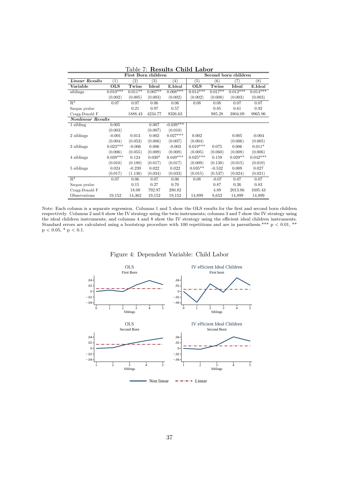<span id="page-38-0"></span>

|                          |            | First Born children |           |             | Second born children |           |            |            |  |  |
|--------------------------|------------|---------------------|-----------|-------------|----------------------|-----------|------------|------------|--|--|
| <b>Linear Results</b>    | (1)        | $\scriptstyle{(2)}$ | (3)       | (4)         | $\left( 5\right)$    | (6)       | (7)        | (8)        |  |  |
| Variable                 | OLS        | Twins               | Ideal     | E.Ideal     | <b>OLS</b>           | Twins     | Ideal      | E.Ideal    |  |  |
| siblings                 | $0.010***$ | $0.011**$           | $0.007**$ | $0.008***$  | $0.014***$           | $0.017**$ | $0.013***$ | $0.014***$ |  |  |
|                          | (0.002)    | (0.005)             | (0.003)   | (0.002)     | (0.002)              | (0.008)   | (0.003)    | (0.003)    |  |  |
| $\mathbb{R}^2$           | 0.07       | 0.07                | 0.06      | 0.06        | 0.08                 | 0.08      | 0.07       | 0.07       |  |  |
| Sargan pyalue            |            | 0.21                | 0.97      | 0.57        |                      | 0.85      | 0.61       | 0.92       |  |  |
| Cragg-Donald F           |            | 1888.43             | 4234.77   | 9326.63     |                      | 985.28    | 3804.09    | 9965.96    |  |  |
| <b>Nonlinear Results</b> |            |                     |           |             |                      |           |            |            |  |  |
| 1 sibling                | 0.005      |                     | 0.007     | $-0.039***$ |                      |           |            |            |  |  |
|                          | (0.003)    |                     | (0.007)   | (0.010)     |                      |           |            |            |  |  |
| 2 siblings               | $-0.001$   | 0.013               | 0.002     | $0.027***$  | 0.002                |           | 0.005      | $-0.004$   |  |  |
|                          | (0.004)    | (0.053)             | (0.006)   | (0.007)     | (0.004)              |           | (0.006)    | (0.005)    |  |  |
| 3 siblings               | $0.023***$ | $-0.006$            | 0.006     | $-0.003$    | $0.019***$           | 0.075     | 0.006      | $0.011*$   |  |  |
|                          | (0.006)    | (0.055)             | (0.009)   | (0.008)     | (0.005)              | (0.060)   | (0.008)    | (0.006)    |  |  |
| 4 siblings               | $0.039***$ | 0.124               | $0.030*$  | $0.049***$  | $0.025***$           | 0.159     | $0.029**$  | $0.042***$ |  |  |
|                          | (0.010)    | (0.180)             | (0.017)   | (0.017)     | (0.009)              | (0.138)   | (0.015)    | (0.010)    |  |  |
| 5 siblings               | 0.024      | $-0.239$            | 0.022     | 0.022       | $0.035**$            | $-0.532$  | 0.009      | 0.027      |  |  |
|                          | (0.017)    | (1.136)             | (0.034)   | (0.033)     | (0.015)              | (0.537)   | (0.024)    | (0.021)    |  |  |
| $R^2$                    | 0.07       | 0.06                | 0.07      | 0.06        | 0.08                 | $-0.07$   | 0.07       | 0.07       |  |  |
| Sargan pvalue            |            | 0.15                | 0.27      | 0.70        |                      | 0.87      | 0.26       | 0.83       |  |  |
| Cragg-Donald F           |            | 18.08               | 792.97    | 280.82      |                      | 4.89      | 2013.86    | 1695.43    |  |  |
| Observations             | 19,152     | 14,362              | 19,152    | 19,152      | 14,899               | 8,652     | 14,899     | 14,899     |  |  |

Table 7: Results Child Labor

Note: Each column is a separate regression. Columns 1 and 5 show the OLS results for the first and second born children respectively. Columns 2 and 6 show the IV strategy using the twin instruments; columns 3 and 7 show the IV strategy using the ideal children instruments; and columns 4 and 8 show the IV strategy using the efficient ideal children instruments. Standard errors are calculated using a bootstrap procedure with 100 repetitions and are in parenthesis.\*\*\*  $p < 0.01$ ,\*\*  $p < 0.05, * p < 0.1.$ 

<span id="page-38-1"></span>

#### Figure 4: Dependent Variable: Child Labor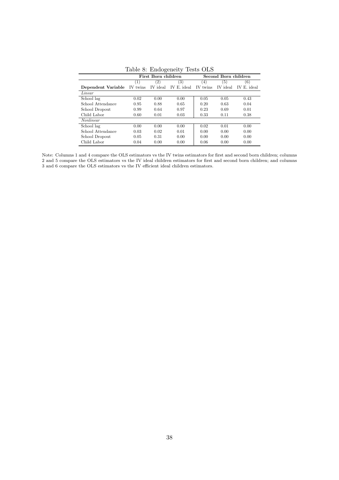<span id="page-39-0"></span>

| таріє от типоденену<br>TESPS OTP |          |                     |             |          |                      |             |  |  |  |  |  |
|----------------------------------|----------|---------------------|-------------|----------|----------------------|-------------|--|--|--|--|--|
|                                  |          | First Born children |             |          | Second Born children |             |  |  |  |  |  |
|                                  | (1)      | (2)                 | (3)         | $^{(4)}$ | (5)                  | (6)         |  |  |  |  |  |
| Dependent Variable               | IV twins | IV ideal            | IV E. ideal | IV twins | IV ideal             | IV E. ideal |  |  |  |  |  |
| Linear                           |          |                     |             |          |                      |             |  |  |  |  |  |
| School lag                       | 0.02     | 0.00                | 0.00        | 0.05     | 0.05                 | 0.43        |  |  |  |  |  |
| School Attendance                | 0.95     | 0.88                | 0.65        | 0.20     | 0.63                 | 0.04        |  |  |  |  |  |
| School Dropout                   | 0.99     | 0.64                | 0.97        | 0.23     | 0.69                 | 0.01        |  |  |  |  |  |
| Child Labor                      | 0.60     | 0.01                | 0.03        | 0.33     | 0.11                 | 0.38        |  |  |  |  |  |
| Nonlinear                        |          |                     |             |          |                      |             |  |  |  |  |  |
| School lag                       | 0.00     | 0.00                | 0.00        | 0.02     | 0.01                 | 0.00        |  |  |  |  |  |
| School Attendance                | 0.03     | 0.02                | 0.01        | 0.00     | 0.00                 | 0.00        |  |  |  |  |  |
| School Dropout                   | 0.05     | 0.31                | 0.00        | 0.00     | 0.00                 | 0.00        |  |  |  |  |  |
| Child Labor                      | 0.04     | 0.00                | 0.00        | 0.06     | 0.00                 | 0.00        |  |  |  |  |  |

Table 8: Endogeneity Tests OLS

Note: Columns 1 and 4 compare the OLS estimators vs the IV twins estimators for first and second born children; columns 2 and 5 compare the OLS estimators vs the IV ideal children estimators for first and second born children; and columns 3 and 6 compare the OLS estimators vs the IV efficient ideal children estimators.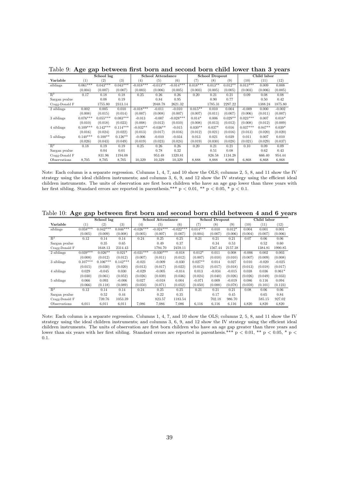|                |            | School lag |            |             | School Attendance |             |            | <b>School Dropout</b> |           | Child labor |           |          |
|----------------|------------|------------|------------|-------------|-------------------|-------------|------------|-----------------------|-----------|-------------|-----------|----------|
| Variable       | (1)        | (2)        | (3)        | (4)         | (5)               | (6)         | (7)        | $^{(8)}$              | (9)       | (10)        | (11)      | (12)     |
| siblings       | $0.061***$ | $0.043***$ | $0.043***$ | $-0.018***$ | $-0.013**$        | $-0.014***$ | $0.018***$ | $0.013**$             | $0.012**$ | $0.013***$  | 0.009     | 0.008    |
|                | (0.004)    | (0.007)    | (0.007)    | (0.003)     | (0.006)           | (0.005)     | (0.003)    | (0.005)               | (0.005)   | (0.003)     | (0.006)   | (0.005)  |
| $\mathbb{R}^2$ | 0.17       | 0.18       | 0.18       | 0.25        | 0.26              | 0.26        | 0.20       | 0.21                  | 0.21      | 0.09        | 0.08      | 0.08     |
| Sargan pyalue  |            | 0.08       | 0.19       |             | 0.84              | 0.95        |            | 0.90                  | 0.77      |             | 0.50      | 0.42     |
| Cragg-Donald F |            | 1755.80    | 2313.14    |             | 2048.78           | 2621.32     |            | 1785.31               | 2297.22   |             | 1388.24   | 1875.80  |
| 2 siblings     | 0.002      | 0.005      | 0.010      | $-0.018***$ | $-0.011$          | $-0.010$    | $0.015**$  | 0.010                 | 0.004     | $-0.009$    | 0.000     | $-0.002$ |
|                | (0.008)    | (0.015)    | (0.014)    | (0.007)     | (0.008)           | (0.007)     | (0.007)    | (0.011)               | (0.007)   | (0.006)     | (0.011)   | (0.007)  |
| 3 siblings     | $0.076***$ | $0.055***$ | $0.083***$ | $-0.013$    | $-0.007$          | $-0.028***$ | $0.014*$   | 0.006                 | $0.029**$ | $0.023***$  | 0.007     | $0.018*$ |
|                | (0.010)    | (0.018)    | (0.023)    | (0.008)     | (0.012)           | (0.010)     | (0.008)    | (0.013)               | (0.012)   | (0.008)     | (0.012)   | (0.009)  |
| 4 siblings     | $0.109***$ | $0.142***$ | $0.114***$ | $-0.032**$  | $-0.036**$        | $-0.015$    | $0.030**$  | $0.037*$              | 0.016     | $0.037***$  | $0.047**$ | $0.039*$ |
|                | (0.016)    | (0.024)    | (0.022)    | (0.013)     | (0.017)           | (0.016)     | (0.012)    | (0.021)               | (0.016)   | (0.013)     | (0.020)   | (0.020)  |
| 5 siblings     | $0.140***$ | $0.100**$  | $0.126**$  | $-0.006$    | $-0.010$          | $-0.034$    | 0.013      | 0.021                 | 0.039     | 0.011       | 0.007     | 0.010    |
|                | (0.026)    | (0.043)    | (0.049)    | (0.019)     | (0.023)           | (0.024)     | (0.019)    | (0.030)               | (0.028)   | (0.021)     | (0.029)   | (0.037)  |
| $\mathbb{R}^2$ | 0.18       | 0.19       | 0.19       | 0.25        | 0.26              | 0.26        | 0.20       | 0.21                  | 0.21      | 0.10        | 0.09      | 0.09     |
| Sargan pyalue  |            | 0.04       | 0.01       |             | 0.78              | 0.32        |            | 0.51                  | 0.08      |             | 0.62      | 0.43     |
| Cragg-Donald F |            | 831.96     | 1194.08    |             | 953.48            | 1320.81     |            | 826.58                | 1134.28   |             | 666.40    | 954.44   |
| Observations   | 8.705      | 8,705      | 8,705      | 10,329      | 10,329            | 10,329      | 8,888      | 8,888                 | 8,888     | 6,868       | 6.868     | 6,868    |

<span id="page-40-0"></span>Table 9: Age gap between first born and second born child lower than 3 years

Note: Each column is a separate regression. Columns 1, 4, 7, and 10 show the OLS; columns 2, 5, 8, and 11 show the IV strategy using the ideal children instruments; and columns 3, 6, 9, and 12 show the IV strategy using the efficient ideal children instruments. The units of observation are first born children who have an age gap lower than three years with her first sibling. Standard errors are reported in parenthesis.\*\*\*  $p < 0.01$ ,\*\*  $p < 0.05$ ,\*  $p < 0.1$ .

<span id="page-40-1"></span>Table 10: Age gap between first born and second born child between 4 and 6 years

|                |            | School lag        |            |             | School Attendance |             |            | <b>School Dropout</b> |          | Child labor |          |          |
|----------------|------------|-------------------|------------|-------------|-------------------|-------------|------------|-----------------------|----------|-------------|----------|----------|
| Variable       | (1)        | $\left( 2\right)$ | (3)        | (4)         | (5)               | (6)         | (7)        | (8)                   | (9)      | (10)        | (11)     | (12)     |
| siblings       | $0.058***$ | $0.042***$        | $0.046***$ | $-0.026***$ | $-0.024***$       | $-0.022***$ | $0.014***$ | 0.010                 | $0.012*$ | 0.004       | 0.001    | 0.001    |
|                | (0.005)    | (0.009)           | (0.008)    | (0.005)     | (0.007)           | (0.007)     | (0.004)    | (0.007)               | (0.006)  | (0.004)     | (0.007)  | (0.006)  |
| $R^2$          | 0.12       | 0.14              | 0.14       | 0.24        | 0.25              | 0.25        | 0.21       | 0.21                  | 0.21     | 0.07        | 0.06     | 0.06     |
| Sargan pvalue  |            | 0.35              | 0.65       |             | 0.49              | 0.37        |            | 0.34                  | 0.53     |             | 0.52     | 0.60     |
| Cragg-Donald F |            | 1648.13           | 2314.43    |             | 1794.70           | 2459.11     |            | 1567.44               | 2157.38  |             | 1384.81  | 1990.85  |
| 2 siblings     | $0.039***$ | $0.026**$         | $0.021*$   | $-0.031***$ | $-0.030***$       | $-0.018$    | $0.012*$   | 0.011                 | 0.008    | $-0.006$    | 0.002    | 0.003    |
|                | (0.008)    | (0.012)           | (0.012)    | (0.007)     | (0.011)           | (0.012)     | (0.007)    | (0.010)               | (0.010)  | (0.007)     | (0.009)  | (0.008)  |
| 3 siblings     | $0.107***$ | $0.106***$        | $0.142***$ | $-0.021$    | $-0.009$          | $-0.030$    | $0.027**$  | 0.014                 | 0.027    | 0.010       | $-0.020$ | $-0.025$ |
|                | (0.015)    | (0.030)           | (0.020)    | (0.013)     | (0.017)           | (0.022)     | (0.012)    | (0.017)               | (0.018)  | (0.013)     | (0.018)  | (0.017)  |
| 4 siblings     | 0.029      | $-0.045$          | 0.030      | $-0.029$    | $-0.005$          | $-0.014$    | 0.013      | $-0.034$              | $-0.015$ | 0.038       | 0.036    | $0.061*$ |
|                | (0.030)    | (0.061)           | (0.052)    | (0.026)     | (0.039)           | (0.036)     | (0.024)    | (0.040)               | (0.026)  | (0.026)     | (0.049)  | (0.033)  |
| 5 siblings     | 0.066      | 0.093             | $-0.006$   | 0.027       | $-0.018$          | 0.004       | $-0.071$   | 0.009                 | $-0.019$ | 0.086       | 0.116    | 0.094    |
|                | (0.066)    | (0.118)           | (0.089)    | (0.050)     | (0.071)           | (0.052)     | (0.050)    | (0.088)               | (0.078)  | (0.059)     | (0.101)  | (0.123)  |
| $R^2$          | 0.12       | 0.14              | 0.14       | 0.24        | 0.25              | 0.25        | 0.21       | 0.21                  | 0.21     | 0.08        | 0.06     | 0.06     |
| Sargan pvalue  |            | 0.52              | 0.44       |             | 0.22              | 0.35        |            | 0.17                  | 0.45     |             | 0.65     | 0.84     |
| Cragg-Donald F |            | 739.76            | 1053.39    |             | 823.57            | 1183.54     |            | 702.18                | 986.70   |             | 585.15   | 927.02   |
| Observations   | 6,011      | 6,011             | 6,011      | 7,086       | 7.086             | 7,086       | 6,116      | 6.116                 | 6,116    | 4,820       | 4,820    | 4,820    |

Note: Each column is a separate regression. Columns 1, 4, 7, and 10 show the OLS; columns 2, 5, 8, and 11 show the IV strategy using the ideal children instruments; and columns 3, 6, 9, and 12 show the IV strategy using the efficient ideal children instruments. The units of observation are first born children who have an age gap greater than three years and lower than six years with her first sibling. Standard errors are reported in parenthesis.\*\*\*  $p < 0.01$ ,\*\*  $p < 0.05$ ,\*  $p <$ 0.1.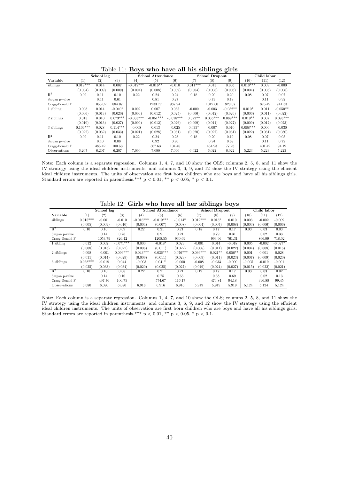<span id="page-41-0"></span>

|                |                  |            |            |             |                          |             | $\tilde{}$ |                       |            |            |             |            |
|----------------|------------------|------------|------------|-------------|--------------------------|-------------|------------|-----------------------|------------|------------|-------------|------------|
|                |                  | School lag |            |             | <b>School Attendance</b> |             |            | <b>School Dropout</b> |            |            | Child labor |            |
| Variable       | $\left(1\right)$ | (2)        | (3)        | (4)         | (5)                      | (6)         | (7)        | (8)                   | (9)        | (10)       | (11)        | (12)       |
| siblings       | $0.019***$       | 0.014      | 0.007      | $-0.012***$ | $-0.016**$               | $-0.010$    | $0.011***$ | 0.013                 | 0.005      | $0.018***$ | 0.009       | $-0.000$   |
|                | (0.004)          | (0.009)    | (0.009)    | (0.004)     | (0.008)                  | (0.009)     | (0.004)    | (0.008)               | (0.008)    | (0.004)    | (0.008)     | (0.008)    |
| $R^2$          | 0.09             | 0.11       | 0.10       | 0.22        | 0.24                     | 0.24        | 0.18       | 0.20                  | 0.20       | 0.08       | 0.07        | 0.07       |
| Sargan p-value |                  | 0.11       | 0.61       |             | 0.81                     | 0.27        |            | 0.73                  | 0.18       |            | 0.11        | 0.92       |
| Cragg-Donald F |                  | 1056.02    | 884.07     |             | 1233.77                  | 987.94      |            | 1012.60               | 820.07     |            | 876.49      | 741.33     |
| 1 sibling      | 0.008            | 0.014      | $-0.040*$  | 0.002       | 0.007                    | 0.035       | $-0.000$   | $-0.003$              | $-0.052**$ | $0.010*$   | 0.011       | $-0.050**$ |
|                | (0.006)          | (0.013)    | (0.020)    | (0.006)     | (0.012)                  | (0.025)     | (0.006)    | (0.012)               | (0.026)    | (0.006)    | (0.011)     | (0.022)    |
| 2 siblings     | 0.015            | 0.010      | $0.073***$ | $-0.033***$ | $-0.051***$              | $-0.078***$ | $0.022**$  | $0.035***$            | $0.089***$ | $0.019**$  | 0.007       | $0.093***$ |
|                | (0.010)          | (0.013)    | (0.027)    | (0.009)     | (0.012)                  | (0.026)     | (0.009)    | (0.011)               | (0.027)    | (0.009)    | (0.012)     | (0.023)    |
| 3 siblings     | $0.109***$       | 0.028      | $0.114***$ | $-0.008$    | 0.013                    | $-0.025$    | $0.035*$   | $-0.007$              | 0.010      | $0.088***$ | 0.000       | $-0.030$   |
|                | (0.022)          | (0.032)    | (0.033)    | (0.021)     | (0.028)                  | (0.031)     | (0.020)    | (0.027)               | (0.031)    | (0.022)    | (0.031)     | (0.030)    |
| $\mathbb{R}^2$ | 0.09             | 0.11       | 0.10       | 0.22        | 0.24                     | 0.23        | 0.18       | 0.20                  | 0.19       | 0.08       | 0.07        | 0.05       |
| Sargan p-value |                  | 0.10       | 0.08       |             | 0.92                     | 0.90        |            | 0.94                  | 0.68       |            | 0.11        | 0.72       |
| Cragg-Donald F |                  | 485.42     | 100.53     |             | 567.63                   | 104.46      |            | 464.93                | 77.23      |            | 401.42      | 94.19      |
| Observations   | 6,207            | 6,207      | 6,207      | 7,090       | 7,090                    | 7,090       | 6,022      | 6,022                 | 6,022      | 5,223      | 5,223       | 5,223      |

Table 11: Boys who have all his siblings girls

Note: Each column is a separate regression. Columns 1, 4, 7, and 10 show the OLS; columns 2, 5, 8, and 11 show the IV strategy using the ideal children instruments; and columns 3, 6, 9, and 12 show the IV strategy using the efficient ideal children instruments. The units of observation are first born children who are boys and have all his siblings girls. Standard errors are reported in parenthesis.\*\*\*  $p < 0.01$ , \*\*  $p < 0.05$ , \*  $p < 0.1$ .

<span id="page-41-1"></span>

| ----o~<br>$\sim$ $\sim$ $\sim$ |            |            |             |             |                   |             |            |                       |           |          |             |           |  |
|--------------------------------|------------|------------|-------------|-------------|-------------------|-------------|------------|-----------------------|-----------|----------|-------------|-----------|--|
|                                |            | School lag |             |             | School Attendance |             |            | <b>School Dropout</b> |           |          | Child labor |           |  |
| Variable                       | $^{(1)}$   | (2)        | (3)         | (4)         | (5)               | (6)         | 17         | $^{(8)}$              | (9)       | (10)     | (11)        | (12)      |  |
| siblings                       | $0.015***$ | $-0.001$   | $-0.010$    | $-0.016***$ | $-0.019***$       | $-0.014*$   | $0.012***$ | $0.013*$              | 0.010     | 0.003    | $-0.002$    | $-0.009$  |  |
|                                | (0.005)    | (0.009)    | (0.010)     | (0.004)     | (0.007)           | (0.008)     | (0.004)    | (0.007)               | (0.008)   | (0.003)  | (0.006)     | (0.006)   |  |
| $\mathbb{R}^2$                 | 0.10       | 0.10       | 0.09        | 0.22        | 0.21              | 0.21        | 0.18       | 0.17                  | 0.17      | 0.03     | 0.03        | 0.03      |  |
| Sargan p-value                 |            | 0.14       | 0.78        |             | 0.91              | 0.21        |            | 0.79                  | 0.31      |          | 0.02        | 0.33      |  |
| Cragg-Donald F                 |            | 1053.79    | 826.42      |             | 1208.55           | 930.69      |            | 993.96                | 761.31    |          | 866.99      | 718.02    |  |
| 1 sibling                      | 0.012      | 0.002      | $-0.071***$ | 0.000       | $-0.018*$         | 0.023       | $-0.001$   | 0.014                 | $-0.018$  | 0.005    | $-0.002$    | $-0.027*$ |  |
|                                | (0.008)    | (0.013)    | (0.027)     | (0.006)     | (0.011)           | (0.022)     | (0.006)    | (0.011)               | (0.022)   | (0.004)  | (0.008)     | (0.015)   |  |
| 2 siblings                     | 0.008      | $-0.001$   | $0.096***$  | $-0.043***$ | $-0.036***$       | $-0.076***$ | $0.036***$ | $0.021**$             | $0.056**$ | 0.001    | 0.001       | 0.028     |  |
|                                | (0.011)    | (0.014)    | (0.029)     | (0.009)     | (0.011)           | (0.023)     | (0.009)    | (0.011)               | (0.023)   | (0.007)  | (0.009)     | (0.020)   |  |
| 3 siblings                     | $0.068***$ | $-0.018$   | 0.044       | $-0.003$    | $0.041*$          | $-0.000$    | $-0.008$   | $-0.033$              | $-0.000$  | $-0.005$ | $-0.019$    | $-0.001$  |  |
|                                | (0.025)    | (0.033)    | (0.034)     | (0.020)     | (0.025)           | (0.027)     | (0.019)    | (0.024)               | (0.027)   | (0.015)  | (0.022)     | (0.021)   |  |
| $\mathbb{R}^2$                 | 0.10       | 0.10       | 0.08        | 0.22        | 0.21              | 0.21        | 0.19       | 0.17                  | 0.17      | 0.03     | 0.03        | 0.02      |  |
| Sargan p-value                 |            | 0.14       | 0.10        |             | 0.75              | 0.63        |            | 0.68                  | 0.69      |          | 0.02        | 0.13      |  |
| Cragg-Donald F                 |            | 497.76     | 106.75      |             | 574.67            | 116.17      |            | 476.84                | 94.18     |          | 396.88      | 99.45     |  |
| Observations                   | 6,080      | 6,080      | 6,080       | 6,916       | 6,916             | 6.916       | 5,919      | 5.919                 | 5,919     | 5,124    | 5,124       | 5,124     |  |

Table  $12$ : Girls who have all her siblings boys

Note: Each column is a separate regression. Columns 1, 4, 7, and 10 show the OLS; columns 2, 5, 8, and 11 show the IV strategy using the ideal children instruments; and columns 3, 6, 9, and 12 show the IV strategy using the efficient ideal children instruments. The units of observation are first born children who are boys and have all his siblings girls. Standard errors are reported in parenthesis.\*\*\* p < 0.01, \*\* p < 0.05, \* p < 0.1.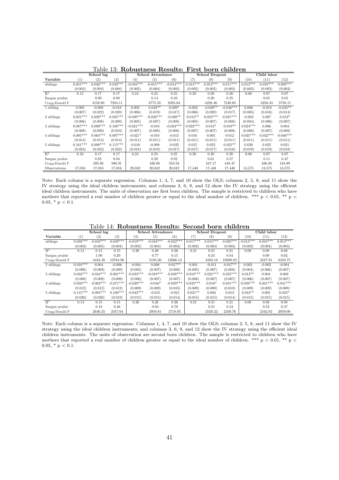<span id="page-42-0"></span>

|                     | School lag       |            | School Attendance |             | <b>School Dropout</b> |             |            | Child labor |             |            |            |            |
|---------------------|------------------|------------|-------------------|-------------|-----------------------|-------------|------------|-------------|-------------|------------|------------|------------|
| Variable            | $\left(1\right)$ | (2)        | (3)               | (4)         | (5)                   | (6)         | (7)        | (8)         | (9)         | (10)       | (11)       | (12)       |
| siblings            | $0.051***$       | $0.046***$ | $0.042***$        | $-0.016***$ | $-0.015***$           | $-0.014***$ | $0.013***$ | $0.012***$  | $0.011***$  | $0.012***$ | $0.010***$ | $0.008***$ |
|                     | (0.003)          | (0.004)    | (0.004)           | (0.002)     | (0.004)               | (0.003)     | (0.002)    | (0.003)     | (0.003)     | (0.002)    | (0.003)    | (0.003)    |
| $R^2$               | 0.15             | 0.17       | 0.17              | 0.24        | 0.25                  | 0.25        | 0.20       | 0.20        | 0.20        | 0.08       | 0.07       | 0.07       |
| Sargan pyalue       |                  | 0.00       | 0.00              |             | 0.14                  | 0.16        |            | 0.20        | 0.25        |            | 0.01       | 0.01       |
| Cragg-Donald F      |                  | 4158.00    | 7284.11           |             | 4775.58               | 8205.64     |            | 4228.46     | 7240.65     |            | 3258.34    | 5758.11    |
| 1 sibling           | 0.005            | $-0.009$   | $-0.018$          | 0.002       | $0.042**$             | $0.029*$    | $-0.002$   | $-0.039**$  | $-0.046***$ | 0.006      | $-0.010$   | $-0.035**$ |
|                     | (0.007)          | (0.022)    | (0.020)           | (0.006)     | (0.019)               | (0.017)     | (0.006)    | (0.020)     | (0.017)     | (0.005)    | (0.016)    | (0.014)    |
| 2 siblings          | $0.021***$       | $0.029***$ | $0.025***$        | $-0.020***$ | $-0.028***$           | $-0.020**$  | $0.012**$  | $0.022***$  | $0.021***$  | $-0.002$   | 0.007      | $0.012*$   |
|                     | (0.006)          | (0.008)    | (0.009)           | (0.005)     | (0.007)               | (0.008)     | (0.005)    | (0.007)     | (0.008)     | (0.004)    | (0.006)    | (0.007)    |
| 3 siblings          | $0.087***$       | $0.090***$ | $0.100***$        | $-0.021***$ | $-0.010$              | $-0.024***$ | $0.022***$ | $0.013*$    | $0.019**$   | $0.024***$ | 0.006      | 0.004      |
|                     | (0.008)          | (0.009)    | (0.010)           | (0.007)     | (0.008)               | (0.008)     | (0.007)    | (0.007)     | (0.008)     | (0.006)    | (0.007)    | (0.008)    |
| 4 siblings          | $0.095***$       | $0.064***$ | $0.097***$        | $-0.021*$   | $-0.010$              | $-0.015$    | 0.016      | 0.005       | 0.012       | $0.035***$ | $0.032***$ | $0.046***$ |
|                     | (0.014)          | (0.014)    | (0.014)           | (0.011)     | (0.011)               | (0.011)     | (0.011)    | (0.011)     | (0.011)     | (0.011)    | (0.011)    | (0.011)    |
| 5 siblings          | $0.161***$       | $0.098***$ | $0.115***$        | $-0.010$    | $-0.009$              | $-0.025$    | 0.015      | 0.022       | $0.035**$   | 0.030      | 0.022      | 0.021      |
|                     | (0.023)          | (0.023)    | (0.022)           | (0.018)     | (0.018)               | (0.017)     | (0.017)    | (0.017)     | (0.016)     | (0.019)    | (0.019)    | (0.018)    |
| $R^2$               | 0.16             | 0.17       | 0.17              | 0.24        | 0.25                  | 0.25        | 0.20       | 0.20        | 0.20        | 0.08       | 0.07       | 0.07       |
| Sargan pyalue       |                  | 0.85       | 0.04              |             | 0.20                  | 0.92        |            | 0.61        | 0.57        |            | 0.11       | 0.47       |
| Cragg-Donald F      |                  | 395.98     | 506.91            |             | 426.68                | 553.58      |            | 347.17      | 448.47      |            | 336.88     | 418.89     |
| <b>Observations</b> | 17,016           | 17,016     | 17,016            | 20,042      | 20,042                | 20,042      | 17,448     | 17,448      | 17,448      | 13,575     | 13,575     | 13,575     |

Table 13: Robustness Results: First born children

Note: Each column is a separate regression. Columns 1, 4, 7, and 10 show the OLS; columns 2, 5, 8, and 11 show the IV strategy using the ideal children instruments; and columns 3, 6, 9, and 12 show the IV strategy using the efficient ideal children instruments. The units of observation are first born children. The sample is restricted to children who have mothers that reported a real number of children greater or equal to the ideal number of children. \*\*\* p < 0.01, \*\* p <  $0.05, * p < 0.1.$ 

Table 14: Robustness Results: Second born children

|                | School lag |            | School Attendance |             |             | <b>School Dropout</b> |            |            | Child labor |            |            |            |
|----------------|------------|------------|-------------------|-------------|-------------|-----------------------|------------|------------|-------------|------------|------------|------------|
| Variable       |            | (2)        | (3)               | (4)         | (5)         | (6)                   |            | (8)        | (9)         | (10)       | $^{(11)}$  | (12)       |
| siblings       | $0.038***$ | $0.043***$ | $0.049***$        | $-0.019***$ | $-0.016***$ | $-0.022***$           | $0.017***$ | $0.015***$ | $0.020***$  | $0.013***$ | $0.010***$ | $0.013***$ |
|                | (0.003)    | (0.005)    | (0.004)           | (0.002)     | (0.004)     | (0.003)               | (0.002)    | (0.004)    | (0.003)     | (0.002)    | (0.004)    | (0.003)    |
| $\mathbb{R}^2$ | 0.13       | 0.15       | 0.15              | 0.26        | 0.26        | 0.26                  | 0.21       | 0.21       | 0.21        | 0.08       | 0.08       | 0.08       |
| Sargan pvalue  |            | 1.00       | 0.20              |             | 0.77        | 0.15                  |            | 0.35       | 0.04        |            | 0.90       | 0.62       |
| Cragg-Donald F |            | 4434.38    | 10764.96          |             | 5194.30     | 12666.13              |            | 4503.18    | 10898.82    |            | 3527.91    | 8450.75    |
| 2 siblings     | $0.018***$ | 0.004      | $-0.006$          | $-0.004$    | 0.008       | $0.017**$             | 0.001      | $-0.011$   | $-0.017**$  | 0.002      | $-0.002$   | $-0.004$   |
|                | (0.006)    | (0.009)    | (0.009)           | (0.005)     | (0.007)     | (0.008)               | (0.005)    | (0.007)    | (0.008)     | (0.004)    | (0.006)    | (0.007)    |
| 3 siblings     | $0.033***$ | $0.034***$ | $0.061***$        | $-0.023***$ | $-0.018***$ | $-0.038***$           | $0.018***$ | $0.021***$ | $0.035***$  | $0.013**$  | 0.004      | 0.008      |
|                | (0.008)    | (0.009)    | (0.009)           | (0.006)     | (0.007)     | (0.007)               | (0.006)    | (0.007)    | (0.007)     | (0.006)    | (0.007)    | (0.007)    |
| 4 siblings     | $0.059***$ | $0.062***$ | $0.071***$        | $-0.029***$ | $-0.016*$   | $-0.029***$           | $0.035***$ | $0.016*$   | $0.031***$  | $0.028***$ | $0.031***$ | $0.041***$ |
|                | (0.012)    | (0.012)    | (0.012)           | (0.009)     | (0.009)     | (0.010)               | (0.009)    | (0.009)    | (0.010)     | (0.009)    | (0.009)    | (0.009)    |
| 5 siblings     | $0.115***$ | $0.094***$ | $0.100***$        | $-0.043***$ | $-0.015$    | $-0.021$              | $0.031**$  | 0.003      | 0.012       | $0.034**$  | 0.005      | $0.025*$   |
|                | (0.020)    | (0.020)    | (0.019)           | (0.015)     | (0.015)     | (0.014)               | (0.015)    | (0.015)    | (0.014)     | (0.015)    | (0.015)    | (0.015)    |
| $\mathbb{R}^2$ | 0.13       | 0.15       | 0.15              | 0.26        | 0.26        | 0.26                  | 0.21       | 0.21       | 0.21        | 0.08       | 0.08       | 0.08       |
| Sargan pvalue  |            | 0.18       | 0.46              |             | 0.03        | 0.78                  |            | 0.21       | 0.34        |            | 0.52       | 0.47       |
| Cragg-Donald F |            | 2640.35    | 2457.64           |             | 2950.81     | 2719.85               |            | 2520.22    | 2330.76     |            | 2162.83    | 2059.09    |

Note: Each column is a separate regression. Columns 1, 4, 7, and 10 show the OLS; columns 2, 5, 8, and 11 show the IV strategy using the ideal children instruments; and columns 3, 6, 9, and 12 show the IV strategy using the efficient ideal children instruments. The units of observation are second born children. The sample is restricted to children who have mothers that reported a real number of children greater or equal to the ideal number of children. \*\*\*  $p < 0.01$ , \*\*  $p <$  $0.05, * p < 0.1.$